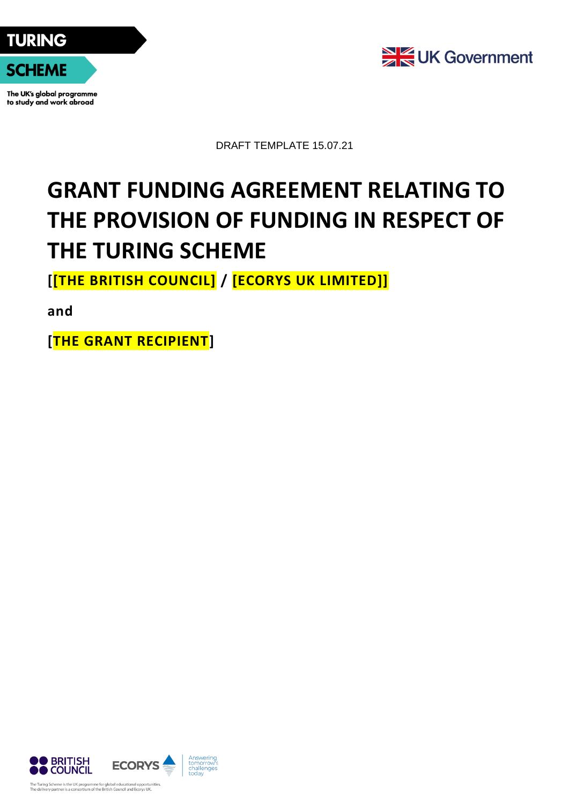



The UK's global programme to study and work abroad



DRAFT TEMPLATE 15.07.21

# **GRANT FUNDING AGREEMENT RELATING TO THE PROVISION OF FUNDING IN RESPECT OF THE TURING SCHEME**

**[[THE BRITISH COUNCIL] / [ECORYS UK LIMITED]]**

**and**

**[THE GRANT RECIPIENT]**

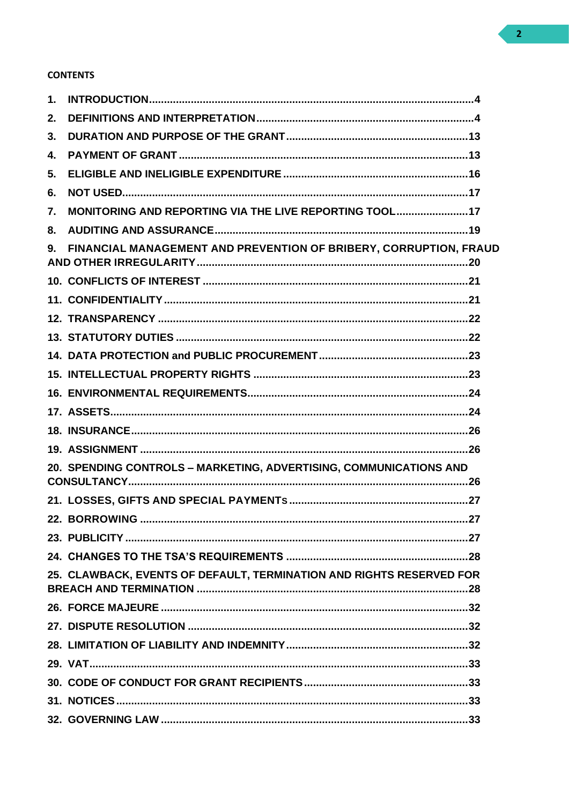## **CONTENTS**

| 1. |                                                                      |
|----|----------------------------------------------------------------------|
| 2. |                                                                      |
| 3. |                                                                      |
| 4. |                                                                      |
| 5. |                                                                      |
| 6. |                                                                      |
| 7. | MONITORING AND REPORTING VIA THE LIVE REPORTING TOOL17               |
| 8. |                                                                      |
|    | 9. FINANCIAL MANAGEMENT AND PREVENTION OF BRIBERY, CORRUPTION, FRAUD |
|    |                                                                      |
|    |                                                                      |
|    |                                                                      |
|    |                                                                      |
|    |                                                                      |
|    |                                                                      |
|    |                                                                      |
|    |                                                                      |
|    |                                                                      |
|    |                                                                      |
|    | 20. SPENDING CONTROLS - MARKETING, ADVERTISING, COMMUNICATIONS AND   |
|    |                                                                      |
|    |                                                                      |
|    |                                                                      |
|    |                                                                      |
|    | 25. CLAWBACK, EVENTS OF DEFAULT, TERMINATION AND RIGHTS RESERVED FOR |
|    |                                                                      |
|    |                                                                      |
|    |                                                                      |
|    |                                                                      |
|    |                                                                      |
|    |                                                                      |
|    |                                                                      |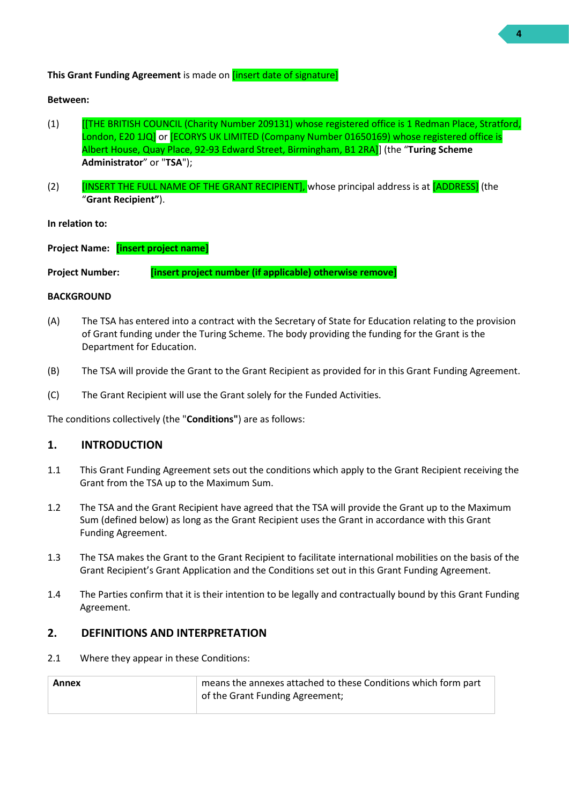#### **This Grant Funding Agreement** is made on [insert date of signature]

#### **Between:**

- (1) [[THE BRITISH COUNCIL (Charity Number 209131) whose registered office is 1 Redman Place, Stratford, London, E20 1JQ or [ECORYS UK LIMITED (Company Number 01650169) whose registered office is Albert House, Quay Place, 92-93 Edward Street, Birmingham, B1 2RA]] (the "**Turing Scheme Administrator**" or "**TSA**");
- (2) **INSERT THE FULL NAME OF THE GRANT RECIPIENT]**, whose principal address is at [ADDRESS] (the "**Grant Recipient"**).

**In relation to:**

**Project Name: [insert project name]**

**Project Number: [insert project number (if applicable) otherwise remove]**

#### **BACKGROUND**

- (A) The TSA has entered into a contract with the Secretary of State for Education relating to the provision of Grant funding under the Turing Scheme. The body providing the funding for the Grant is the Department for Education.
- (B) The TSA will provide the Grant to the Grant Recipient as provided for in this Grant Funding Agreement.
- (C) The Grant Recipient will use the Grant solely for the Funded Activities.

The conditions collectively (the "**Conditions"**) are as follows:

#### <span id="page-3-0"></span>**1. INTRODUCTION**

- 1.1 This Grant Funding Agreement sets out the conditions which apply to the Grant Recipient receiving the Grant from the TSA up to the Maximum Sum.
- 1.2 The TSA and the Grant Recipient have agreed that the TSA will provide the Grant up to the Maximum Sum (defined below) as long as the Grant Recipient uses the Grant in accordance with this Grant Funding Agreement.
- 1.3 The TSA makes the Grant to the Grant Recipient to facilitate international mobilities on the basis of the Grant Recipient's Grant Application and the Conditions set out in this Grant Funding Agreement.
- 1.4 The Parties confirm that it is their intention to be legally and contractually bound by this Grant Funding Agreement.

#### <span id="page-3-1"></span>**2. DEFINITIONS AND INTERPRETATION**

2.1 Where they appear in these Conditions:

| Annex | means the annexes attached to these Conditions which form part |
|-------|----------------------------------------------------------------|
|       | of the Grant Funding Agreement;                                |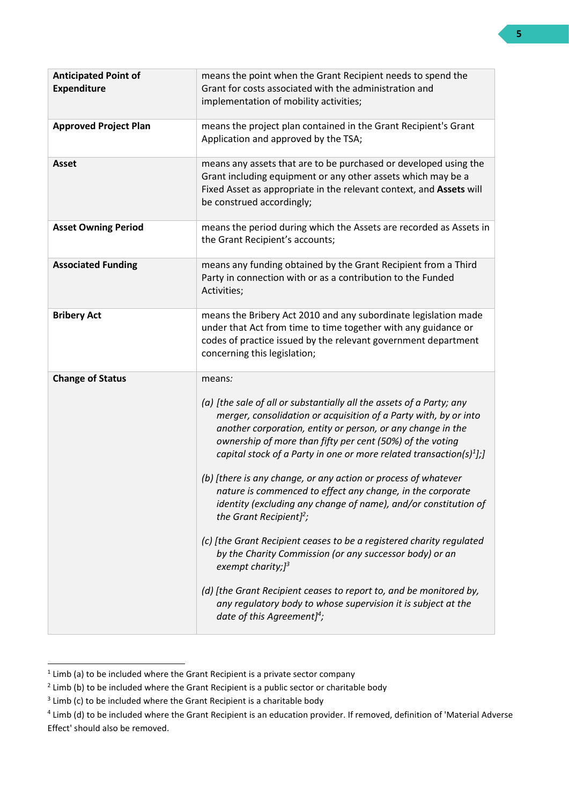| <b>Anticipated Point of</b><br><b>Expenditure</b> | means the point when the Grant Recipient needs to spend the<br>Grant for costs associated with the administration and<br>implementation of mobility activities;                                                                                                                                                                                                                                                                                                                                                                                                                                                                                                                                                                                                                                                                                                                                                                                          |
|---------------------------------------------------|----------------------------------------------------------------------------------------------------------------------------------------------------------------------------------------------------------------------------------------------------------------------------------------------------------------------------------------------------------------------------------------------------------------------------------------------------------------------------------------------------------------------------------------------------------------------------------------------------------------------------------------------------------------------------------------------------------------------------------------------------------------------------------------------------------------------------------------------------------------------------------------------------------------------------------------------------------|
| <b>Approved Project Plan</b>                      | means the project plan contained in the Grant Recipient's Grant<br>Application and approved by the TSA;                                                                                                                                                                                                                                                                                                                                                                                                                                                                                                                                                                                                                                                                                                                                                                                                                                                  |
| <b>Asset</b>                                      | means any assets that are to be purchased or developed using the<br>Grant including equipment or any other assets which may be a<br>Fixed Asset as appropriate in the relevant context, and Assets will<br>be construed accordingly;                                                                                                                                                                                                                                                                                                                                                                                                                                                                                                                                                                                                                                                                                                                     |
| <b>Asset Owning Period</b>                        | means the period during which the Assets are recorded as Assets in<br>the Grant Recipient's accounts;                                                                                                                                                                                                                                                                                                                                                                                                                                                                                                                                                                                                                                                                                                                                                                                                                                                    |
| <b>Associated Funding</b>                         | means any funding obtained by the Grant Recipient from a Third<br>Party in connection with or as a contribution to the Funded<br>Activities;                                                                                                                                                                                                                                                                                                                                                                                                                                                                                                                                                                                                                                                                                                                                                                                                             |
| <b>Bribery Act</b>                                | means the Bribery Act 2010 and any subordinate legislation made<br>under that Act from time to time together with any guidance or<br>codes of practice issued by the relevant government department<br>concerning this legislation;                                                                                                                                                                                                                                                                                                                                                                                                                                                                                                                                                                                                                                                                                                                      |
| <b>Change of Status</b>                           | means:<br>(a) [the sale of all or substantially all the assets of a Party; any<br>merger, consolidation or acquisition of a Party with, by or into<br>another corporation, entity or person, or any change in the<br>ownership of more than fifty per cent (50%) of the voting<br>capital stock of a Party in one or more related transaction(s) $\frac{1}{2}$ ];<br>(b) [there is any change, or any action or process of whatever<br>nature is commenced to effect any change, in the corporate<br>identity (excluding any change of name), and/or constitution of<br>the Grant Recipient] <sup>2</sup> ;<br>(c) [the Grant Recipient ceases to be a registered charity regulated<br>by the Charity Commission (or any successor body) or an<br>exempt charity; $J^3$<br>(d) [the Grant Recipient ceases to report to, and be monitored by,<br>any regulatory body to whose supervision it is subject at the<br>date of this Agreement] <sup>4</sup> ; |

 $<sup>1</sup>$  Limb (a) to be included where the Grant Recipient is a private sector company</sup>

 $2$  Limb (b) to be included where the Grant Recipient is a public sector or charitable body

 $3$  Limb (c) to be included where the Grant Recipient is a charitable body

<sup>&</sup>lt;sup>4</sup> Limb (d) to be included where the Grant Recipient is an education provider. If removed, definition of 'Material Adverse Effect' should also be removed.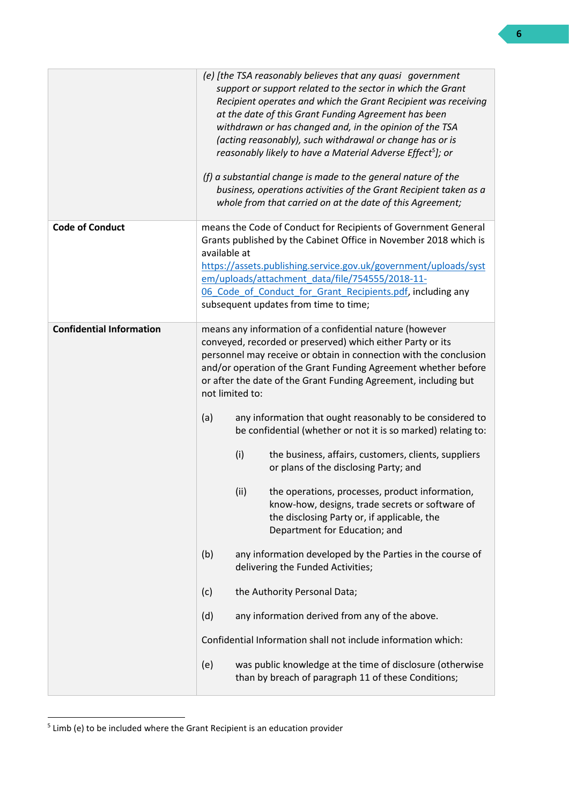|                                 | (e) [the TSA reasonably believes that any quasi government<br>support or support related to the sector in which the Grant<br>Recipient operates and which the Grant Recipient was receiving<br>at the date of this Grant Funding Agreement has been<br>withdrawn or has changed and, in the opinion of the TSA<br>(acting reasonably), such withdrawal or change has or is<br>reasonably likely to have a Material Adverse Effect <sup>5</sup> ]; or<br>(f) a substantial change is made to the general nature of the<br>business, operations activities of the Grant Recipient taken as a<br>whole from that carried on at the date of this Agreement;                                                                                                                                                                                                                                                                                                                                                                                                                                                                                                                                            |  |
|---------------------------------|----------------------------------------------------------------------------------------------------------------------------------------------------------------------------------------------------------------------------------------------------------------------------------------------------------------------------------------------------------------------------------------------------------------------------------------------------------------------------------------------------------------------------------------------------------------------------------------------------------------------------------------------------------------------------------------------------------------------------------------------------------------------------------------------------------------------------------------------------------------------------------------------------------------------------------------------------------------------------------------------------------------------------------------------------------------------------------------------------------------------------------------------------------------------------------------------------|--|
| <b>Code of Conduct</b>          | means the Code of Conduct for Recipients of Government General<br>Grants published by the Cabinet Office in November 2018 which is<br>available at<br>https://assets.publishing.service.gov.uk/government/uploads/syst<br>em/uploads/attachment_data/file/754555/2018-11-<br>06 Code of Conduct for Grant Recipients.pdf, including any<br>subsequent updates from time to time;                                                                                                                                                                                                                                                                                                                                                                                                                                                                                                                                                                                                                                                                                                                                                                                                                   |  |
| <b>Confidential Information</b> | means any information of a confidential nature (however<br>conveyed, recorded or preserved) which either Party or its<br>personnel may receive or obtain in connection with the conclusion<br>and/or operation of the Grant Funding Agreement whether before<br>or after the date of the Grant Funding Agreement, including but<br>not limited to:<br>(a)<br>any information that ought reasonably to be considered to<br>be confidential (whether or not it is so marked) relating to:<br>(i)<br>the business, affairs, customers, clients, suppliers<br>or plans of the disclosing Party; and<br>(ii)<br>the operations, processes, product information,<br>know-how, designs, trade secrets or software of<br>the disclosing Party or, if applicable, the<br>Department for Education; and<br>(b)<br>any information developed by the Parties in the course of<br>delivering the Funded Activities;<br>(c)<br>the Authority Personal Data;<br>(d)<br>any information derived from any of the above.<br>Confidential Information shall not include information which:<br>was public knowledge at the time of disclosure (otherwise<br>(e)<br>than by breach of paragraph 11 of these Conditions; |  |

<sup>&</sup>lt;sup>5</sup> Limb (e) to be included where the Grant Recipient is an education provider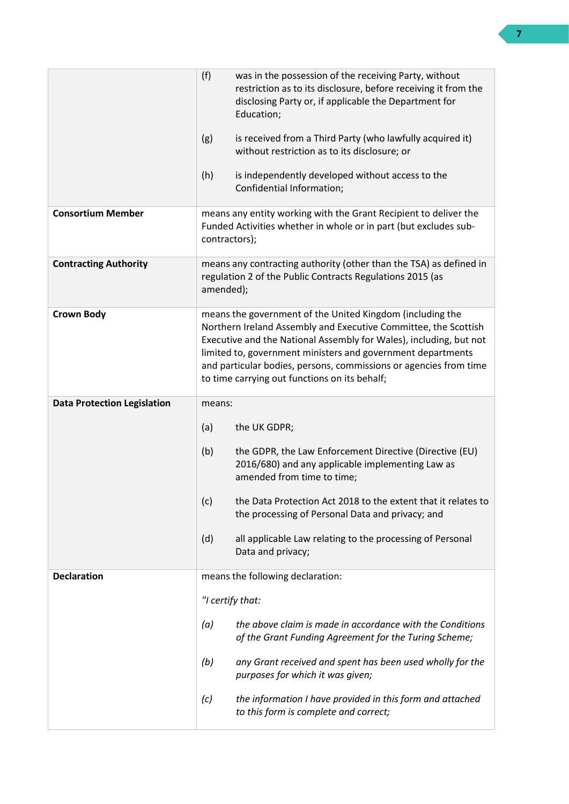|                                    | (f)<br>was in the possession of the receiving Party, without<br>restriction as to its disclosure, before receiving it from the<br>disclosing Party or, if applicable the Department for<br>Education;<br>(g)<br>is received from a Third Party (who lawfully acquired it)<br>without restriction as to its disclosure; or<br>(h)<br>is independently developed without access to the    |  |
|------------------------------------|-----------------------------------------------------------------------------------------------------------------------------------------------------------------------------------------------------------------------------------------------------------------------------------------------------------------------------------------------------------------------------------------|--|
|                                    | Confidential Information;                                                                                                                                                                                                                                                                                                                                                               |  |
| <b>Consortium Member</b>           | means any entity working with the Grant Recipient to deliver the<br>Funded Activities whether in whole or in part (but excludes sub-<br>contractors);                                                                                                                                                                                                                                   |  |
| <b>Contracting Authority</b>       | means any contracting authority (other than the TSA) as defined in<br>regulation 2 of the Public Contracts Regulations 2015 (as<br>amended);                                                                                                                                                                                                                                            |  |
| <b>Crown Body</b>                  | means the government of the United Kingdom (including the<br>Northern Ireland Assembly and Executive Committee, the Scottish<br>Executive and the National Assembly for Wales), including, but not<br>limited to, government ministers and government departments<br>and particular bodies, persons, commissions or agencies from time<br>to time carrying out functions on its behalf; |  |
|                                    | means:                                                                                                                                                                                                                                                                                                                                                                                  |  |
| <b>Data Protection Legislation</b> |                                                                                                                                                                                                                                                                                                                                                                                         |  |
|                                    | (a)<br>the UK GDPR;                                                                                                                                                                                                                                                                                                                                                                     |  |
|                                    | (b)<br>the GDPR, the Law Enforcement Directive (Directive (EU)<br>2016/680) and any applicable implementing Law as<br>amended from time to time;                                                                                                                                                                                                                                        |  |
|                                    | (c)<br>the Data Protection Act 2018 to the extent that it relates to<br>the processing of Personal Data and privacy; and                                                                                                                                                                                                                                                                |  |
|                                    | (d)<br>all applicable Law relating to the processing of Personal<br>Data and privacy;                                                                                                                                                                                                                                                                                                   |  |
| <b>Declaration</b>                 | means the following declaration:                                                                                                                                                                                                                                                                                                                                                        |  |
|                                    | "I certify that:                                                                                                                                                                                                                                                                                                                                                                        |  |
|                                    | the above claim is made in accordance with the Conditions<br>(a)<br>of the Grant Funding Agreement for the Turing Scheme;                                                                                                                                                                                                                                                               |  |
|                                    | (b)<br>any Grant received and spent has been used wholly for the<br>purposes for which it was given;                                                                                                                                                                                                                                                                                    |  |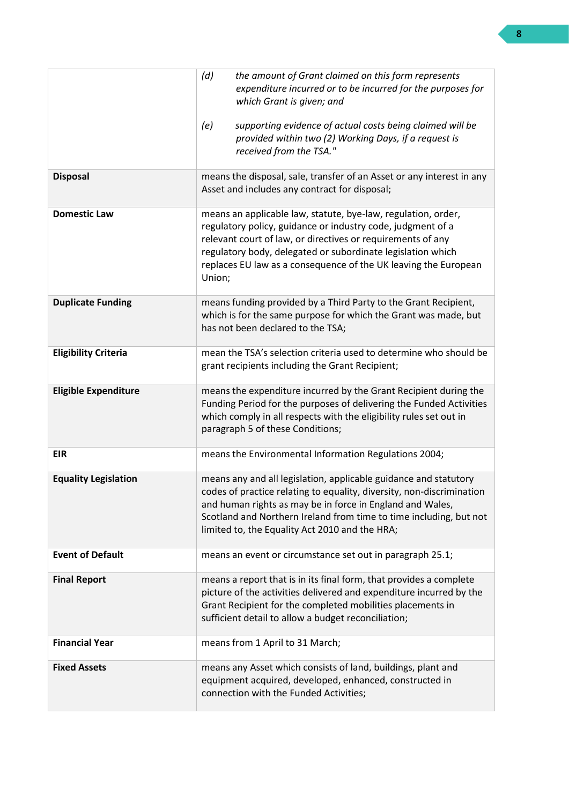|                             | (d)<br>the amount of Grant claimed on this form represents<br>expenditure incurred or to be incurred for the purposes for<br>which Grant is given; and                                                                                                                                                                                  |
|-----------------------------|-----------------------------------------------------------------------------------------------------------------------------------------------------------------------------------------------------------------------------------------------------------------------------------------------------------------------------------------|
|                             | supporting evidence of actual costs being claimed will be<br>(e)<br>provided within two (2) Working Days, if a request is<br>received from the TSA."                                                                                                                                                                                    |
| <b>Disposal</b>             | means the disposal, sale, transfer of an Asset or any interest in any<br>Asset and includes any contract for disposal;                                                                                                                                                                                                                  |
| <b>Domestic Law</b>         | means an applicable law, statute, bye-law, regulation, order,<br>regulatory policy, guidance or industry code, judgment of a<br>relevant court of law, or directives or requirements of any<br>regulatory body, delegated or subordinate legislation which<br>replaces EU law as a consequence of the UK leaving the European<br>Union; |
| <b>Duplicate Funding</b>    | means funding provided by a Third Party to the Grant Recipient,<br>which is for the same purpose for which the Grant was made, but<br>has not been declared to the TSA;                                                                                                                                                                 |
| <b>Eligibility Criteria</b> | mean the TSA's selection criteria used to determine who should be<br>grant recipients including the Grant Recipient;                                                                                                                                                                                                                    |
| <b>Eligible Expenditure</b> | means the expenditure incurred by the Grant Recipient during the<br>Funding Period for the purposes of delivering the Funded Activities<br>which comply in all respects with the eligibility rules set out in<br>paragraph 5 of these Conditions;                                                                                       |
| <b>EIR</b>                  | means the Environmental Information Regulations 2004;                                                                                                                                                                                                                                                                                   |
| <b>Equality Legislation</b> | means any and all legislation, applicable guidance and statutory<br>codes of practice relating to equality, diversity, non-discrimination<br>and human rights as may be in force in England and Wales,<br>Scotland and Northern Ireland from time to time including, but not<br>limited to, the Equality Act 2010 and the HRA;          |
| <b>Event of Default</b>     | means an event or circumstance set out in paragraph 25.1;                                                                                                                                                                                                                                                                               |
| <b>Final Report</b>         | means a report that is in its final form, that provides a complete<br>picture of the activities delivered and expenditure incurred by the<br>Grant Recipient for the completed mobilities placements in<br>sufficient detail to allow a budget reconciliation;                                                                          |
| <b>Financial Year</b>       | means from 1 April to 31 March;                                                                                                                                                                                                                                                                                                         |
| <b>Fixed Assets</b>         | means any Asset which consists of land, buildings, plant and<br>equipment acquired, developed, enhanced, constructed in<br>connection with the Funded Activities;                                                                                                                                                                       |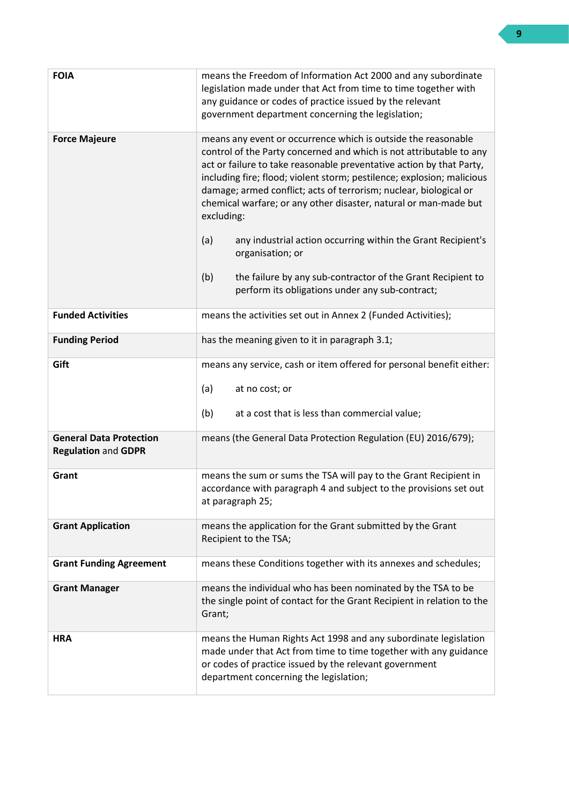| <b>FOIA</b>                                                  | means the Freedom of Information Act 2000 and any subordinate<br>legislation made under that Act from time to time together with<br>any guidance or codes of practice issued by the relevant<br>government department concerning the legislation;                                                                                                                                                                                             |  |
|--------------------------------------------------------------|-----------------------------------------------------------------------------------------------------------------------------------------------------------------------------------------------------------------------------------------------------------------------------------------------------------------------------------------------------------------------------------------------------------------------------------------------|--|
| <b>Force Majeure</b>                                         | means any event or occurrence which is outside the reasonable<br>control of the Party concerned and which is not attributable to any<br>act or failure to take reasonable preventative action by that Party,<br>including fire; flood; violent storm; pestilence; explosion; malicious<br>damage; armed conflict; acts of terrorism; nuclear, biological or<br>chemical warfare; or any other disaster, natural or man-made but<br>excluding: |  |
|                                                              | (a)<br>any industrial action occurring within the Grant Recipient's<br>organisation; or                                                                                                                                                                                                                                                                                                                                                       |  |
|                                                              | (b)<br>the failure by any sub-contractor of the Grant Recipient to<br>perform its obligations under any sub-contract;                                                                                                                                                                                                                                                                                                                         |  |
| <b>Funded Activities</b>                                     | means the activities set out in Annex 2 (Funded Activities);                                                                                                                                                                                                                                                                                                                                                                                  |  |
| <b>Funding Period</b>                                        | has the meaning given to it in paragraph 3.1;                                                                                                                                                                                                                                                                                                                                                                                                 |  |
| Gift                                                         | means any service, cash or item offered for personal benefit either:                                                                                                                                                                                                                                                                                                                                                                          |  |
|                                                              | (a)<br>at no cost; or                                                                                                                                                                                                                                                                                                                                                                                                                         |  |
|                                                              | (b)<br>at a cost that is less than commercial value;                                                                                                                                                                                                                                                                                                                                                                                          |  |
| <b>General Data Protection</b><br><b>Regulation and GDPR</b> | means (the General Data Protection Regulation (EU) 2016/679);                                                                                                                                                                                                                                                                                                                                                                                 |  |
| Grant                                                        | means the sum or sums the TSA will pay to the Grant Recipient in<br>accordance with paragraph 4 and subject to the provisions set out<br>at paragraph 25;                                                                                                                                                                                                                                                                                     |  |
| <b>Grant Application</b>                                     | means the application for the Grant submitted by the Grant<br>Recipient to the TSA;                                                                                                                                                                                                                                                                                                                                                           |  |
| <b>Grant Funding Agreement</b>                               | means these Conditions together with its annexes and schedules;                                                                                                                                                                                                                                                                                                                                                                               |  |
| <b>Grant Manager</b>                                         | means the individual who has been nominated by the TSA to be<br>the single point of contact for the Grant Recipient in relation to the<br>Grant;                                                                                                                                                                                                                                                                                              |  |
| <b>HRA</b>                                                   | means the Human Rights Act 1998 and any subordinate legislation<br>made under that Act from time to time together with any guidance<br>or codes of practice issued by the relevant government<br>department concerning the legislation;                                                                                                                                                                                                       |  |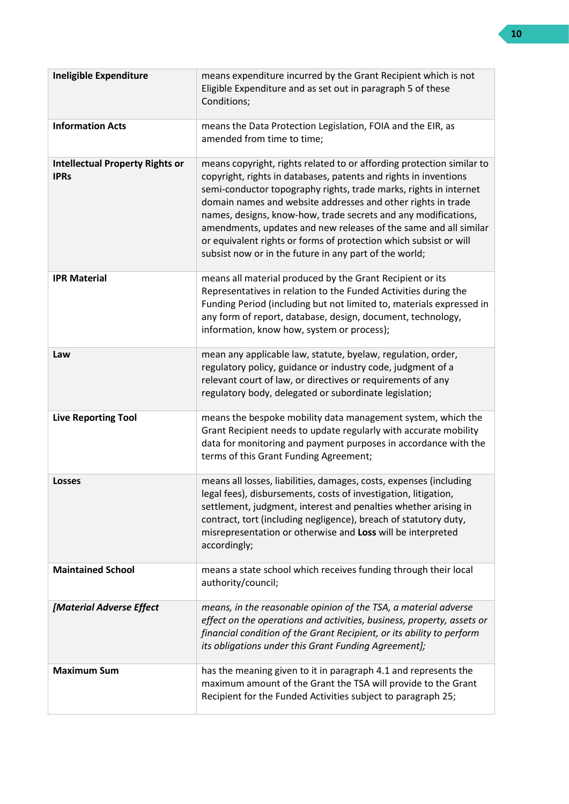| <b>Ineligible Expenditure</b>                         | means expenditure incurred by the Grant Recipient which is not<br>Eligible Expenditure and as set out in paragraph 5 of these<br>Conditions;                                                                                                                                                                                                                                                                                                                                                                                                        |
|-------------------------------------------------------|-----------------------------------------------------------------------------------------------------------------------------------------------------------------------------------------------------------------------------------------------------------------------------------------------------------------------------------------------------------------------------------------------------------------------------------------------------------------------------------------------------------------------------------------------------|
| <b>Information Acts</b>                               | means the Data Protection Legislation, FOIA and the EIR, as<br>amended from time to time;                                                                                                                                                                                                                                                                                                                                                                                                                                                           |
| <b>Intellectual Property Rights or</b><br><b>IPRs</b> | means copyright, rights related to or affording protection similar to<br>copyright, rights in databases, patents and rights in inventions<br>semi-conductor topography rights, trade marks, rights in internet<br>domain names and website addresses and other rights in trade<br>names, designs, know-how, trade secrets and any modifications,<br>amendments, updates and new releases of the same and all similar<br>or equivalent rights or forms of protection which subsist or will<br>subsist now or in the future in any part of the world; |
| <b>IPR Material</b>                                   | means all material produced by the Grant Recipient or its<br>Representatives in relation to the Funded Activities during the<br>Funding Period (including but not limited to, materials expressed in<br>any form of report, database, design, document, technology,<br>information, know how, system or process);                                                                                                                                                                                                                                   |
| Law                                                   | mean any applicable law, statute, byelaw, regulation, order,<br>regulatory policy, guidance or industry code, judgment of a<br>relevant court of law, or directives or requirements of any<br>regulatory body, delegated or subordinate legislation;                                                                                                                                                                                                                                                                                                |
| <b>Live Reporting Tool</b>                            | means the bespoke mobility data management system, which the<br>Grant Recipient needs to update regularly with accurate mobility<br>data for monitoring and payment purposes in accordance with the<br>terms of this Grant Funding Agreement;                                                                                                                                                                                                                                                                                                       |
| <b>Losses</b>                                         | means all losses, liabilities, damages, costs, expenses (including<br>legal fees), disbursements, costs of investigation, litigation,<br>settlement, judgment, interest and penalties whether arising in<br>contract, tort (including negligence), breach of statutory duty,<br>misrepresentation or otherwise and Loss will be interpreted<br>accordingly;                                                                                                                                                                                         |
| <b>Maintained School</b>                              | means a state school which receives funding through their local<br>authority/council;                                                                                                                                                                                                                                                                                                                                                                                                                                                               |
| [Material Adverse Effect                              | means, in the reasonable opinion of the TSA, a material adverse<br>effect on the operations and activities, business, property, assets or<br>financial condition of the Grant Recipient, or its ability to perform<br>its obligations under this Grant Funding Agreement];                                                                                                                                                                                                                                                                          |
| <b>Maximum Sum</b>                                    | has the meaning given to it in paragraph 4.1 and represents the<br>maximum amount of the Grant the TSA will provide to the Grant<br>Recipient for the Funded Activities subject to paragraph 25;                                                                                                                                                                                                                                                                                                                                                    |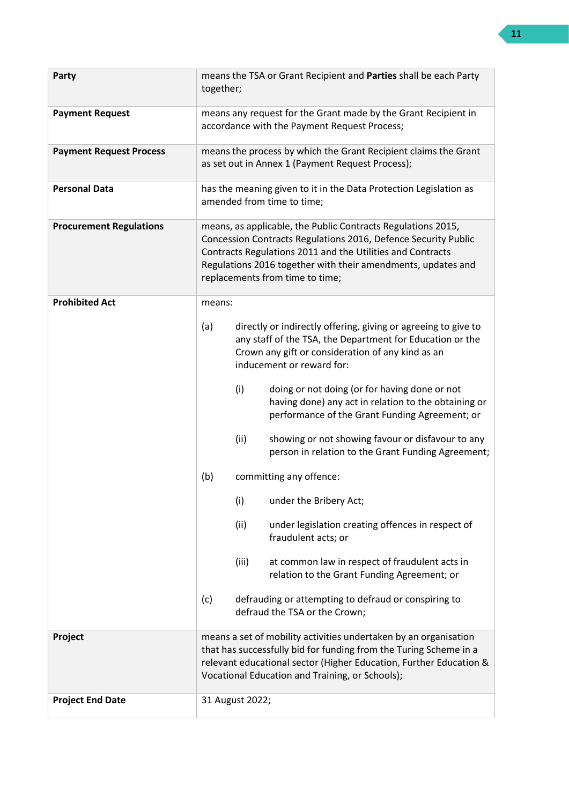| Party                          | means the TSA or Grant Recipient and Parties shall be each Party<br>together;                                                                                                                                                                                                                   |  |
|--------------------------------|-------------------------------------------------------------------------------------------------------------------------------------------------------------------------------------------------------------------------------------------------------------------------------------------------|--|
| <b>Payment Request</b>         | means any request for the Grant made by the Grant Recipient in<br>accordance with the Payment Request Process;                                                                                                                                                                                  |  |
| <b>Payment Request Process</b> | means the process by which the Grant Recipient claims the Grant<br>as set out in Annex 1 (Payment Request Process);                                                                                                                                                                             |  |
| <b>Personal Data</b>           | has the meaning given to it in the Data Protection Legislation as<br>amended from time to time;                                                                                                                                                                                                 |  |
| <b>Procurement Regulations</b> | means, as applicable, the Public Contracts Regulations 2015,<br>Concession Contracts Regulations 2016, Defence Security Public<br>Contracts Regulations 2011 and the Utilities and Contracts<br>Regulations 2016 together with their amendments, updates and<br>replacements from time to time; |  |
| <b>Prohibited Act</b>          | means:                                                                                                                                                                                                                                                                                          |  |
|                                | (a)<br>directly or indirectly offering, giving or agreeing to give to<br>any staff of the TSA, the Department for Education or the<br>Crown any gift or consideration of any kind as an<br>inducement or reward for:                                                                            |  |
|                                | (i)<br>doing or not doing (or for having done or not<br>having done) any act in relation to the obtaining or<br>performance of the Grant Funding Agreement; or                                                                                                                                  |  |
|                                | (ii)<br>showing or not showing favour or disfavour to any<br>person in relation to the Grant Funding Agreement;                                                                                                                                                                                 |  |
|                                | (b)<br>committing any offence:                                                                                                                                                                                                                                                                  |  |
|                                | (i)<br>under the Bribery Act;                                                                                                                                                                                                                                                                   |  |
|                                | (ii)<br>under legislation creating offences in respect of<br>fraudulent acts; or                                                                                                                                                                                                                |  |
|                                | (iii)<br>at common law in respect of fraudulent acts in<br>relation to the Grant Funding Agreement; or                                                                                                                                                                                          |  |
|                                | defrauding or attempting to defraud or conspiring to<br>(c)<br>defraud the TSA or the Crown;                                                                                                                                                                                                    |  |
| Project                        | means a set of mobility activities undertaken by an organisation<br>that has successfully bid for funding from the Turing Scheme in a<br>relevant educational sector (Higher Education, Further Education &<br>Vocational Education and Training, or Schools);                                  |  |
| <b>Project End Date</b>        | 31 August 2022;                                                                                                                                                                                                                                                                                 |  |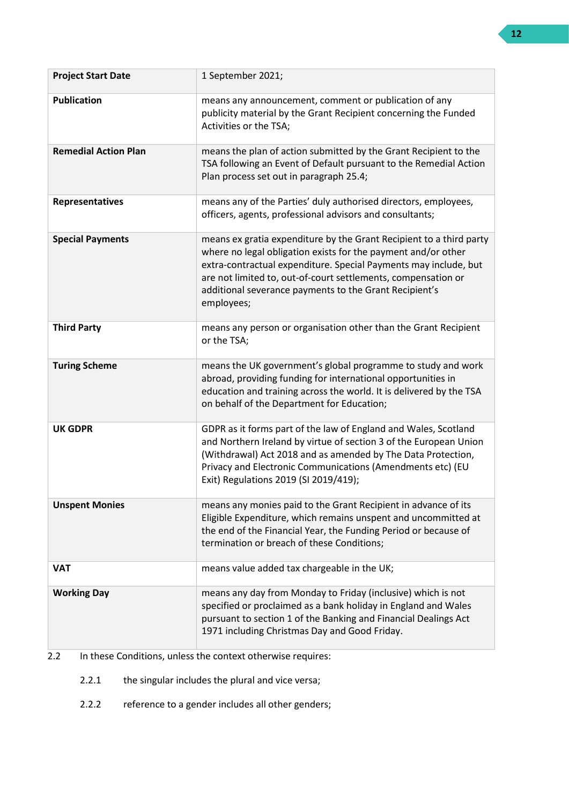| <b>Project Start Date</b>   | 1 September 2021;                                                                                                                                                                                                                                                                                                                                 |
|-----------------------------|---------------------------------------------------------------------------------------------------------------------------------------------------------------------------------------------------------------------------------------------------------------------------------------------------------------------------------------------------|
| <b>Publication</b>          | means any announcement, comment or publication of any<br>publicity material by the Grant Recipient concerning the Funded<br>Activities or the TSA;                                                                                                                                                                                                |
| <b>Remedial Action Plan</b> | means the plan of action submitted by the Grant Recipient to the<br>TSA following an Event of Default pursuant to the Remedial Action<br>Plan process set out in paragraph 25.4;                                                                                                                                                                  |
| Representatives             | means any of the Parties' duly authorised directors, employees,<br>officers, agents, professional advisors and consultants;                                                                                                                                                                                                                       |
| <b>Special Payments</b>     | means ex gratia expenditure by the Grant Recipient to a third party<br>where no legal obligation exists for the payment and/or other<br>extra-contractual expenditure. Special Payments may include, but<br>are not limited to, out-of-court settlements, compensation or<br>additional severance payments to the Grant Recipient's<br>employees; |
| <b>Third Party</b>          | means any person or organisation other than the Grant Recipient<br>or the TSA;                                                                                                                                                                                                                                                                    |
| <b>Turing Scheme</b>        | means the UK government's global programme to study and work<br>abroad, providing funding for international opportunities in<br>education and training across the world. It is delivered by the TSA<br>on behalf of the Department for Education;                                                                                                 |
| <b>UK GDPR</b>              | GDPR as it forms part of the law of England and Wales, Scotland<br>and Northern Ireland by virtue of section 3 of the European Union<br>(Withdrawal) Act 2018 and as amended by The Data Protection,<br>Privacy and Electronic Communications (Amendments etc) (EU<br>Exit) Regulations 2019 (SI 2019/419);                                       |
| <b>Unspent Monies</b>       | means any monies paid to the Grant Recipient in advance of its<br>Eligible Expenditure, which remains unspent and uncommitted at<br>the end of the Financial Year, the Funding Period or because of<br>termination or breach of these Conditions;                                                                                                 |
| <b>VAT</b>                  | means value added tax chargeable in the UK;                                                                                                                                                                                                                                                                                                       |
| <b>Working Day</b>          | means any day from Monday to Friday (inclusive) which is not<br>specified or proclaimed as a bank holiday in England and Wales<br>pursuant to section 1 of the Banking and Financial Dealings Act<br>1971 including Christmas Day and Good Friday.                                                                                                |

## 2.2 In these Conditions, unless the context otherwise requires:

- 2.2.1 the singular includes the plural and vice versa;
- 2.2.2 reference to a gender includes all other genders;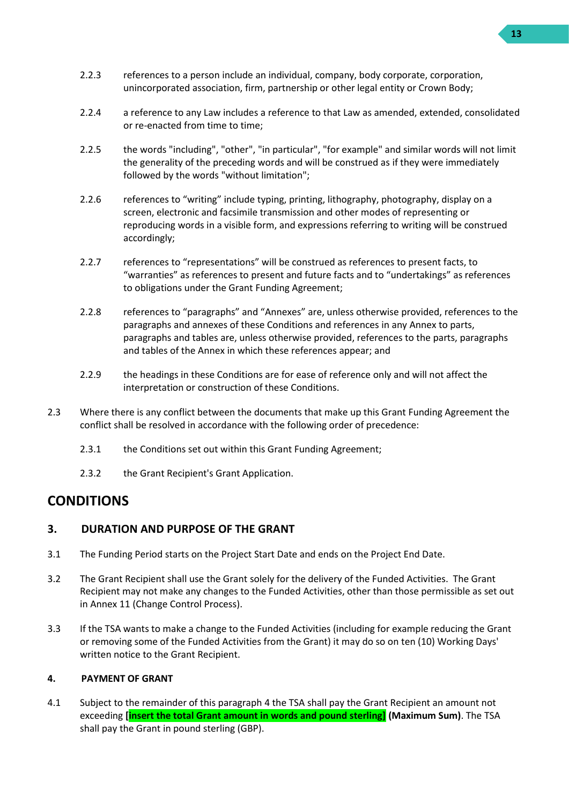- 2.2.3 references to a person include an individual, company, body corporate, corporation, unincorporated association, firm, partnership or other legal entity or Crown Body;
- 2.2.4 a reference to any Law includes a reference to that Law as amended, extended, consolidated or re-enacted from time to time;
- 2.2.5 the words "including", "other", "in particular", "for example" and similar words will not limit the generality of the preceding words and will be construed as if they were immediately followed by the words "without limitation";
- 2.2.6 references to "writing" include typing, printing, lithography, photography, display on a screen, electronic and facsimile transmission and other modes of representing or reproducing words in a visible form, and expressions referring to writing will be construed accordingly;
- 2.2.7 references to "representations" will be construed as references to present facts, to "warranties" as references to present and future facts and to "undertakings" as references to obligations under the Grant Funding Agreement;
- 2.2.8 references to "paragraphs" and "Annexes" are, unless otherwise provided, references to the paragraphs and annexes of these Conditions and references in any Annex to parts, paragraphs and tables are, unless otherwise provided, references to the parts, paragraphs and tables of the Annex in which these references appear; and
- 2.2.9 the headings in these Conditions are for ease of reference only and will not affect the interpretation or construction of these Conditions.
- 2.3 Where there is any conflict between the documents that make up this Grant Funding Agreement the conflict shall be resolved in accordance with the following order of precedence:
	- 2.3.1 the Conditions set out within this Grant Funding Agreement;
	- 2.3.2 the Grant Recipient's Grant Application.

# **CONDITIONS**

## <span id="page-12-0"></span>**3. DURATION AND PURPOSE OF THE GRANT**

- <span id="page-12-2"></span>3.1 The Funding Period starts on the Project Start Date and ends on the Project End Date.
- 3.2 The Grant Recipient shall use the Grant solely for the delivery of the Funded Activities. The Grant Recipient may not make any changes to the Funded Activities, other than those permissible as set out in Annex 11 (Change Control Process).
- 3.3 If the TSA wants to make a change to the Funded Activities (including for example reducing the Grant or removing some of the Funded Activities from the Grant) it may do so on ten (10) Working Days' written notice to the Grant Recipient.

#### <span id="page-12-1"></span>**4. PAYMENT OF GRANT**

<span id="page-12-3"></span>4.1 Subject to the remainder of this paragrap[h 4](#page-12-1) the TSA shall pay the Grant Recipient an amount not exceeding **[insert the total Grant amount in words and pound sterling] (Maximum Sum)**. The TSA shall pay the Grant in pound sterling (GBP).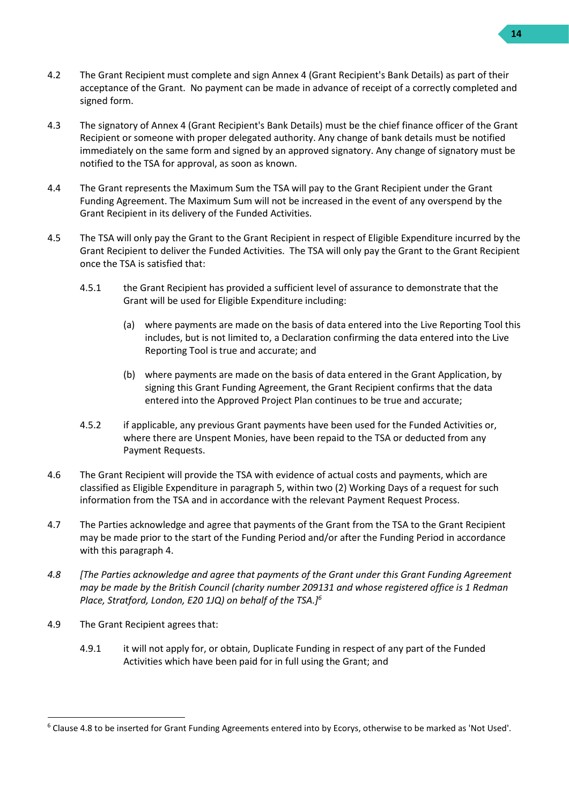- 4.2 The Grant Recipient must complete and sign Annex 4 (Grant Recipient's Bank Details) as part of their acceptance of the Grant. No payment can be made in advance of receipt of a correctly completed and signed form.
- 4.3 The signatory of Annex 4 (Grant Recipient's Bank Details) must be the chief finance officer of the Grant Recipient or someone with proper delegated authority. Any change of bank details must be notified immediately on the same form and signed by an approved signatory. Any change of signatory must be notified to the TSA for approval, as soon as known.
- 4.4 The Grant represents the Maximum Sum the TSA will pay to the Grant Recipient under the Grant Funding Agreement. The Maximum Sum will not be increased in the event of any overspend by the Grant Recipient in its delivery of the Funded Activities.
- 4.5 The TSA will only pay the Grant to the Grant Recipient in respect of Eligible Expenditure incurred by the Grant Recipient to deliver the Funded Activities. The TSA will only pay the Grant to the Grant Recipient once the TSA is satisfied that:
	- 4.5.1 the Grant Recipient has provided a sufficient level of assurance to demonstrate that the Grant will be used for Eligible Expenditure including:
		- (a) where payments are made on the basis of data entered into the Live Reporting Tool this includes, but is not limited to, a Declaration confirming the data entered into the Live Reporting Tool is true and accurate; and
		- (b) where payments are made on the basis of data entered in the Grant Application, by signing this Grant Funding Agreement, the Grant Recipient confirms that the data entered into the Approved Project Plan continues to be true and accurate;
	- 4.5.2 if applicable, any previous Grant payments have been used for the Funded Activities or, where there are Unspent Monies, have been repaid to the TSA or deducted from any Payment Requests.
- 4.6 The Grant Recipient will provide the TSA with evidence of actual costs and payments, which are classified as Eligible Expenditure in paragraph [5,](#page-15-0) within two (2) Working Days of a request for such information from the TSA and in accordance with the relevant Payment Request Process.
- 4.7 The Parties acknowledge and agree that payments of the Grant from the TSA to the Grant Recipient may be made prior to the start of the Funding Period and/or after the Funding Period in accordance with this paragraph [4.](#page-12-1)
- *4.8 [The Parties acknowledge and agree that payments of the Grant under this Grant Funding Agreement may be made by the British Council (charity number 209131 and whose registered office is 1 Redman Place, Stratford, London, E20 1JQ) on behalf of the TSA.]<sup>6</sup>*
- 4.9 The Grant Recipient agrees that:
	- 4.9.1 it will not apply for, or obtain, Duplicate Funding in respect of any part of the Funded Activities which have been paid for in full using the Grant; and

 $6$  Clause 4.8 to be inserted for Grant Funding Agreements entered into by Ecorys, otherwise to be marked as 'Not Used'.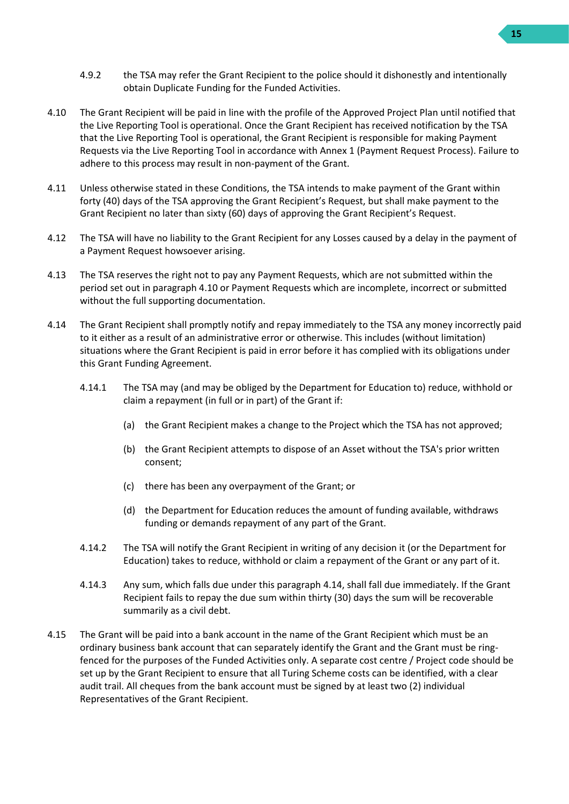- 4.9.2 the TSA may refer the Grant Recipient to the police should it dishonestly and intentionally obtain Duplicate Funding for the Funded Activities.
- <span id="page-14-0"></span>4.10 The Grant Recipient will be paid in line with the profile of the Approved Project Plan until notified that the Live Reporting Tool is operational. Once the Grant Recipient has received notification by the TSA that the Live Reporting Tool is operational, the Grant Recipient is responsible for making Payment Requests via the Live Reporting Tool in accordance with Annex 1 (Payment Request Process). Failure to adhere to this process may result in non-payment of the Grant.
- 4.11 Unless otherwise stated in these Conditions, the TSA intends to make payment of the Grant within forty (40) days of the TSA approving the Grant Recipient's Request, but shall make payment to the Grant Recipient no later than sixty (60) days of approving the Grant Recipient's Request.
- 4.12 The TSA will have no liability to the Grant Recipient for any Losses caused by a delay in the payment of a Payment Request howsoever arising.
- 4.13 The TSA reserves the right not to pay any Payment Requests, which are not submitted within the period set out in paragraph [4.10](#page-14-0) or Payment Requests which are incomplete, incorrect or submitted without the full supporting documentation.
- <span id="page-14-1"></span>4.14 The Grant Recipient shall promptly notify and repay immediately to the TSA any money incorrectly paid to it either as a result of an administrative error or otherwise. This includes (without limitation) situations where the Grant Recipient is paid in error before it has complied with its obligations under this Grant Funding Agreement.
	- 4.14.1 The TSA may (and may be obliged by the Department for Education to) reduce, withhold or claim a repayment (in full or in part) of the Grant if:
		- (a) the Grant Recipient makes a change to the Project which the TSA has not approved;
		- (b) the Grant Recipient attempts to dispose of an Asset without the TSA's prior written consent;
		- (c) there has been any overpayment of the Grant; or
		- (d) the Department for Education reduces the amount of funding available, withdraws funding or demands repayment of any part of the Grant.
	- 4.14.2 The TSA will notify the Grant Recipient in writing of any decision it (or the Department for Education) takes to reduce, withhold or claim a repayment of the Grant or any part of it.
	- 4.14.3 Any sum, which falls due under this paragraph [4.14,](#page-14-1) shall fall due immediately. If the Grant Recipient fails to repay the due sum within thirty (30) days the sum will be recoverable summarily as a civil debt.
- 4.15 The Grant will be paid into a bank account in the name of the Grant Recipient which must be an ordinary business bank account that can separately identify the Grant and the Grant must be ringfenced for the purposes of the Funded Activities only. A separate cost centre / Project code should be set up by the Grant Recipient to ensure that all Turing Scheme costs can be identified, with a clear audit trail. All cheques from the bank account must be signed by at least two (2) individual Representatives of the Grant Recipient.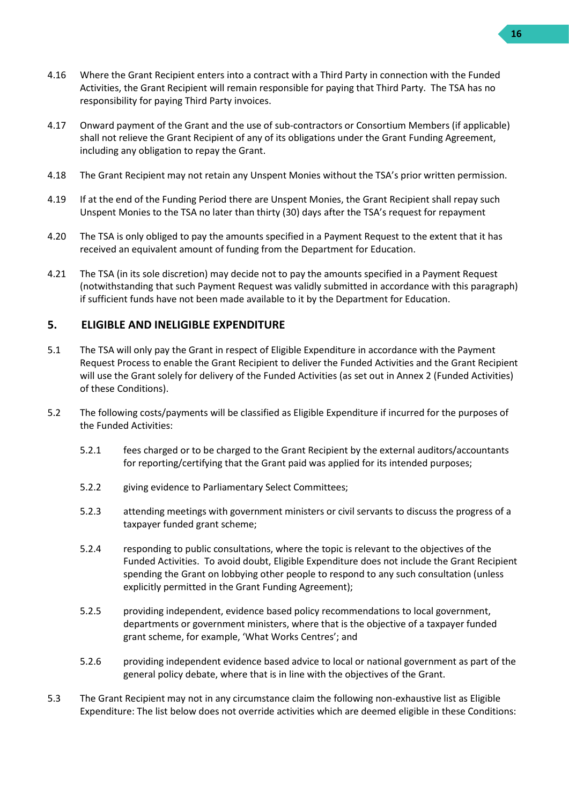- 4.16 Where the Grant Recipient enters into a contract with a Third Party in connection with the Funded Activities, the Grant Recipient will remain responsible for paying that Third Party. The TSA has no responsibility for paying Third Party invoices.
- 4.17 Onward payment of the Grant and the use of sub-contractors or Consortium Members (if applicable) shall not relieve the Grant Recipient of any of its obligations under the Grant Funding Agreement, including any obligation to repay the Grant.
- 4.18 The Grant Recipient may not retain any Unspent Monies without the TSA's prior written permission.
- 4.19 If at the end of the Funding Period there are Unspent Monies, the Grant Recipient shall repay such Unspent Monies to the TSA no later than thirty (30) days after the TSA's request for repayment
- 4.20 The TSA is only obliged to pay the amounts specified in a Payment Request to the extent that it has received an equivalent amount of funding from the Department for Education.
- 4.21 The TSA (in its sole discretion) may decide not to pay the amounts specified in a Payment Request (notwithstanding that such Payment Request was validly submitted in accordance with this paragraph) if sufficient funds have not been made available to it by the Department for Education.

## <span id="page-15-0"></span>**5. ELIGIBLE AND INELIGIBLE EXPENDITURE**

- 5.1 The TSA will only pay the Grant in respect of Eligible Expenditure in accordance with the Payment Request Process to enable the Grant Recipient to deliver the Funded Activities and the Grant Recipient will use the Grant solely for delivery of the Funded Activities (as set out in Annex 2 (Funded Activities) of these Conditions).
- 5.2 The following costs/payments will be classified as Eligible Expenditure if incurred for the purposes of the Funded Activities:
	- 5.2.1 fees charged or to be charged to the Grant Recipient by the external auditors/accountants for reporting/certifying that the Grant paid was applied for its intended purposes;
	- 5.2.2 giving evidence to Parliamentary Select Committees;
	- 5.2.3 attending meetings with government ministers or civil servants to discuss the progress of a taxpayer funded grant scheme;
	- 5.2.4 responding to public consultations, where the topic is relevant to the objectives of the Funded Activities. To avoid doubt, Eligible Expenditure does not include the Grant Recipient spending the Grant on lobbying other people to respond to any such consultation (unless explicitly permitted in the Grant Funding Agreement);
	- 5.2.5 providing independent, evidence based policy recommendations to local government, departments or government ministers, where that is the objective of a taxpayer funded grant scheme, for example, 'What Works Centres'; and
	- 5.2.6 providing independent evidence based advice to local or national government as part of the general policy debate, where that is in line with the objectives of the Grant.
- 5.3 The Grant Recipient may not in any circumstance claim the following non-exhaustive list as Eligible Expenditure: The list below does not override activities which are deemed eligible in these Conditions: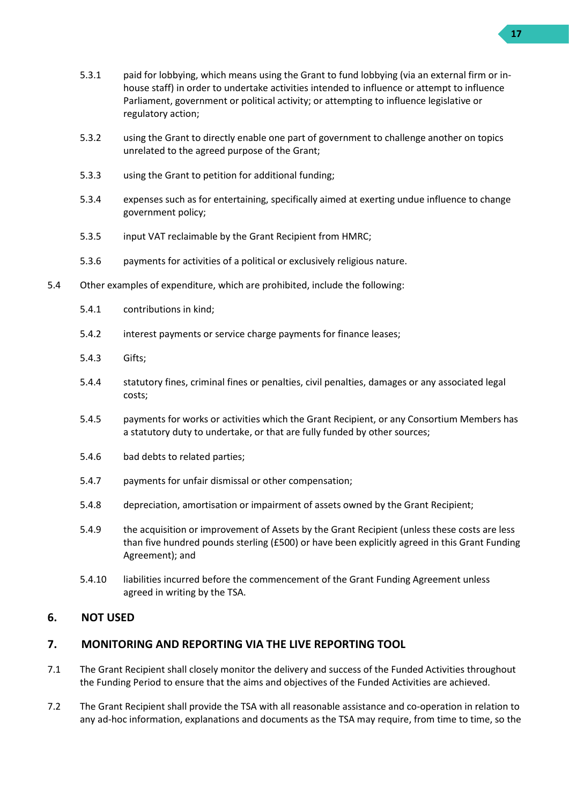- 5.3.1 paid for lobbying, which means using the Grant to fund lobbying (via an external firm or inhouse staff) in order to undertake activities intended to influence or attempt to influence Parliament, government or political activity; or attempting to influence legislative or regulatory action;
- 5.3.2 using the Grant to directly enable one part of government to challenge another on topics unrelated to the agreed purpose of the Grant;
- 5.3.3 using the Grant to petition for additional funding;
- 5.3.4 expenses such as for entertaining, specifically aimed at exerting undue influence to change government policy;
- 5.3.5 input VAT reclaimable by the Grant Recipient from HMRC;
- 5.3.6 payments for activities of a political or exclusively religious nature.
- 5.4 Other examples of expenditure, which are prohibited, include the following:
	- 5.4.1 contributions in kind;
	- 5.4.2 interest payments or service charge payments for finance leases;
	- 5.4.3 Gifts;
	- 5.4.4 statutory fines, criminal fines or penalties, civil penalties, damages or any associated legal costs;
	- 5.4.5 payments for works or activities which the Grant Recipient, or any Consortium Members has a statutory duty to undertake, or that are fully funded by other sources;
	- 5.4.6 bad debts to related parties;
	- 5.4.7 payments for unfair dismissal or other compensation;
	- 5.4.8 depreciation, amortisation or impairment of assets owned by the Grant Recipient;
	- 5.4.9 the acquisition or improvement of Assets by the Grant Recipient (unless these costs are less than five hundred pounds sterling (£500) or have been explicitly agreed in this Grant Funding Agreement); and
	- 5.4.10 liabilities incurred before the commencement of the Grant Funding Agreement unless agreed in writing by the TSA.

#### <span id="page-16-0"></span>**6. NOT USED**

#### <span id="page-16-1"></span>**7. MONITORING AND REPORTING VIA THE LIVE REPORTING TOOL**

- 7.1 The Grant Recipient shall closely monitor the delivery and success of the Funded Activities throughout the Funding Period to ensure that the aims and objectives of the Funded Activities are achieved.
- <span id="page-16-2"></span>7.2 The Grant Recipient shall provide the TSA with all reasonable assistance and co-operation in relation to any ad-hoc information, explanations and documents as the TSA may require, from time to time, so the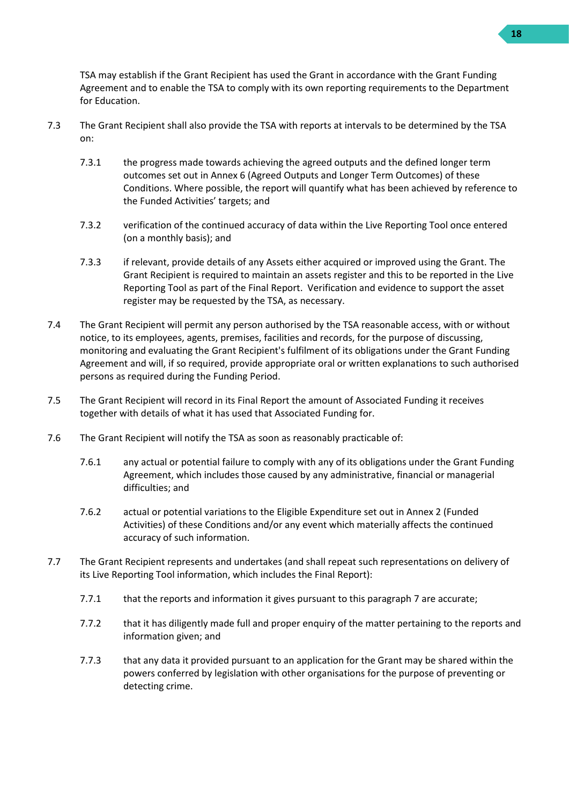TSA may establish if the Grant Recipient has used the Grant in accordance with the Grant Funding Agreement and to enable the TSA to comply with its own reporting requirements to the Department for Education.

- 7.3 The Grant Recipient shall also provide the TSA with reports at intervals to be determined by the TSA on:
	- 7.3.1 the progress made towards achieving the agreed outputs and the defined longer term outcomes set out in Annex 6 (Agreed Outputs and Longer Term Outcomes) of these Conditions. Where possible, the report will quantify what has been achieved by reference to the Funded Activities' targets; and
	- 7.3.2 verification of the continued accuracy of data within the Live Reporting Tool once entered (on a monthly basis); and
	- 7.3.3 if relevant, provide details of any Assets either acquired or improved using the Grant. The Grant Recipient is required to maintain an assets register and this to be reported in the Live Reporting Tool as part of the Final Report. Verification and evidence to support the asset register may be requested by the TSA, as necessary.
- 7.4 The Grant Recipient will permit any person authorised by the TSA reasonable access, with or without notice, to its employees, agents, premises, facilities and records, for the purpose of discussing, monitoring and evaluating the Grant Recipient's fulfilment of its obligations under the Grant Funding Agreement and will, if so required, provide appropriate oral or written explanations to such authorised persons as required during the Funding Period.
- 7.5 The Grant Recipient will record in its Final Report the amount of Associated Funding it receives together with details of what it has used that Associated Funding for.
- 7.6 The Grant Recipient will notify the TSA as soon as reasonably practicable of:
	- 7.6.1 any actual or potential failure to comply with any of its obligations under the Grant Funding Agreement, which includes those caused by any administrative, financial or managerial difficulties; and
	- 7.6.2 actual or potential variations to the Eligible Expenditure set out in Annex 2 (Funded Activities) of these Conditions and/or any event which materially affects the continued accuracy of such information.
- 7.7 The Grant Recipient represents and undertakes (and shall repeat such representations on delivery of its Live Reporting Tool information, which includes the Final Report):
	- 7.7.1 that the reports and information it gives pursuant to this paragraph [7](#page-16-1) are accurate;
	- 7.7.2 that it has diligently made full and proper enquiry of the matter pertaining to the reports and information given; and
	- 7.7.3 that any data it provided pursuant to an application for the Grant may be shared within the powers conferred by legislation with other organisations for the purpose of preventing or detecting crime.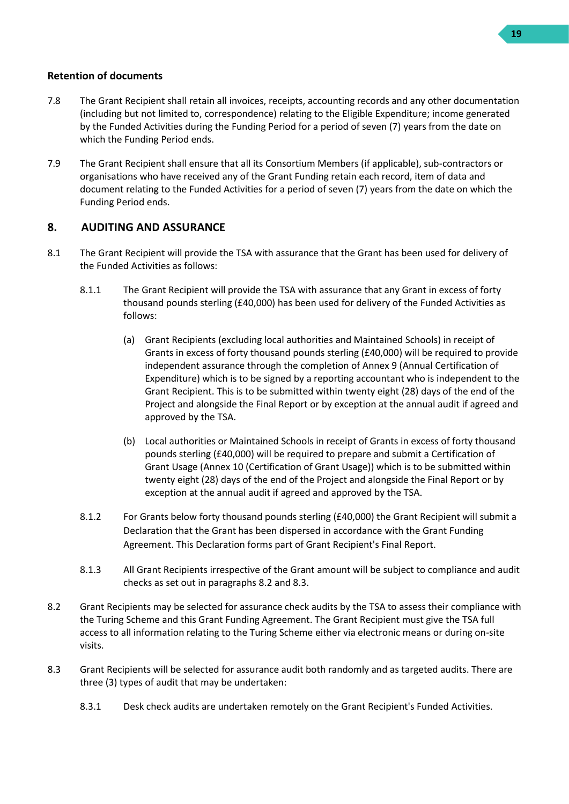#### **Retention of documents**

- 7.8 The Grant Recipient shall retain all invoices, receipts, accounting records and any other documentation (including but not limited to, correspondence) relating to the Eligible Expenditure; income generated by the Funded Activities during the Funding Period for a period of seven (7) years from the date on which the Funding Period ends.
- 7.9 The Grant Recipient shall ensure that all its Consortium Members (if applicable), sub-contractors or organisations who have received any of the Grant Funding retain each record, item of data and document relating to the Funded Activities for a period of seven (7) years from the date on which the Funding Period ends.

## <span id="page-18-0"></span>**8. AUDITING AND ASSURANCE**

- <span id="page-18-3"></span>8.1 The Grant Recipient will provide the TSA with assurance that the Grant has been used for delivery of the Funded Activities as follows:
	- 8.1.1 The Grant Recipient will provide the TSA with assurance that any Grant in excess of forty thousand pounds sterling (£40,000) has been used for delivery of the Funded Activities as follows:
		- (a) Grant Recipients (excluding local authorities and Maintained Schools) in receipt of Grants in excess of forty thousand pounds sterling (£40,000) will be required to provide independent assurance through the completion of Annex 9 (Annual Certification of Expenditure) which is to be signed by a reporting accountant who is independent to the Grant Recipient. This is to be submitted within twenty eight (28) days of the end of the Project and alongside the Final Report or by exception at the annual audit if agreed and approved by the TSA.
		- (b) Local authorities or Maintained Schools in receipt of Grants in excess of forty thousand pounds sterling (£40,000) will be required to prepare and submit a Certification of Grant Usage (Annex 10 (Certification of Grant Usage)) which is to be submitted within twenty eight (28) days of the end of the Project and alongside the Final Report or by exception at the annual audit if agreed and approved by the TSA.
	- 8.1.2 For Grants below forty thousand pounds sterling (£40,000) the Grant Recipient will submit a Declaration that the Grant has been dispersed in accordance with the Grant Funding Agreement. This Declaration forms part of Grant Recipient's Final Report.
	- 8.1.3 All Grant Recipients irrespective of the Grant amount will be subject to compliance and audit checks as set out in paragraph[s 8.2](#page-18-1) an[d 8.3.](#page-18-2)
- <span id="page-18-1"></span>8.2 Grant Recipients may be selected for assurance check audits by the TSA to assess their compliance with the Turing Scheme and this Grant Funding Agreement. The Grant Recipient must give the TSA full access to all information relating to the Turing Scheme either via electronic means or during on-site visits.
- <span id="page-18-2"></span>8.3 Grant Recipients will be selected for assurance audit both randomly and as targeted audits. There are three (3) types of audit that may be undertaken:
	- 8.3.1 Desk check audits are undertaken remotely on the Grant Recipient's Funded Activities.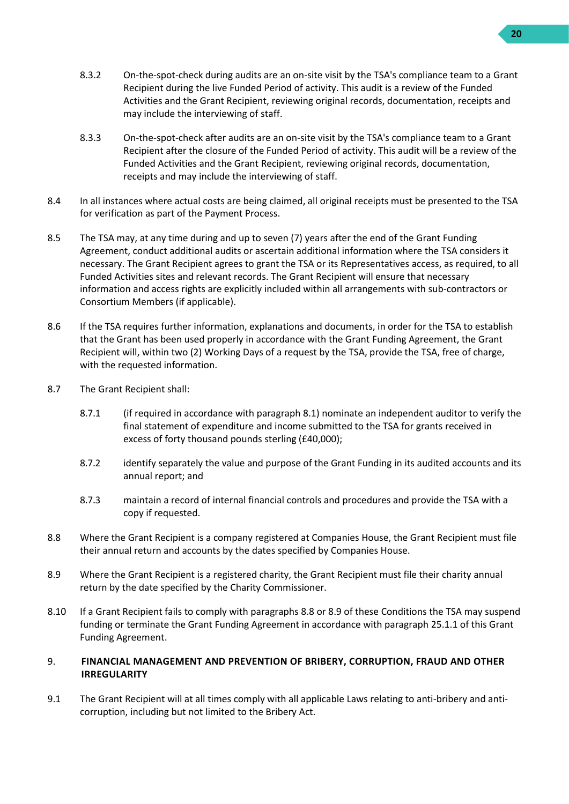- 8.3.2 On-the-spot-check during audits are an on-site visit by the TSA's compliance team to a Grant Recipient during the live Funded Period of activity. This audit is a review of the Funded Activities and the Grant Recipient, reviewing original records, documentation, receipts and may include the interviewing of staff.
- 8.3.3 On-the-spot-check after audits are an on-site visit by the TSA's compliance team to a Grant Recipient after the closure of the Funded Period of activity. This audit will be a review of the Funded Activities and the Grant Recipient, reviewing original records, documentation, receipts and may include the interviewing of staff.
- 8.4 In all instances where actual costs are being claimed, all original receipts must be presented to the TSA for verification as part of the Payment Process.
- 8.5 The TSA may, at any time during and up to seven (7) years after the end of the Grant Funding Agreement, conduct additional audits or ascertain additional information where the TSA considers it necessary. The Grant Recipient agrees to grant the TSA or its Representatives access, as required, to all Funded Activities sites and relevant records. The Grant Recipient will ensure that necessary information and access rights are explicitly included within all arrangements with sub-contractors or Consortium Members (if applicable).
- 8.6 If the TSA requires further information, explanations and documents, in order for the TSA to establish that the Grant has been used properly in accordance with the Grant Funding Agreement, the Grant Recipient will, within two (2) Working Days of a request by the TSA, provide the TSA, free of charge, with the requested information.
- 8.7 The Grant Recipient shall:
	- 8.7.1 (if required in accordance with paragraph [8.1\)](#page-18-3) nominate an independent auditor to verify the final statement of expenditure and income submitted to the TSA for grants received in excess of forty thousand pounds sterling (£40,000);
	- 8.7.2 identify separately the value and purpose of the Grant Funding in its audited accounts and its annual report; and
	- 8.7.3 maintain a record of internal financial controls and procedures and provide the TSA with a copy if requested.
- <span id="page-19-1"></span>8.8 Where the Grant Recipient is a company registered at Companies House, the Grant Recipient must file their annual return and accounts by the dates specified by Companies House.
- <span id="page-19-2"></span>8.9 Where the Grant Recipient is a registered charity, the Grant Recipient must file their charity annual return by the date specified by the Charity Commissioner.
- 8.10 If a Grant Recipient fails to comply with paragraphs [8.8](#page-19-1) o[r 8.9](#page-19-2) of these Conditions the TSA may suspend funding or terminate the Grant Funding Agreement in accordance with paragraph [25.1.1](#page-27-3) of this Grant Funding Agreement.

#### <span id="page-19-0"></span>9. **FINANCIAL MANAGEMENT AND PREVENTION OF BRIBERY, CORRUPTION, FRAUD AND OTHER IRREGULARITY**

9.1 The Grant Recipient will at all times comply with all applicable Laws relating to anti-bribery and anticorruption, including but not limited to the Bribery Act.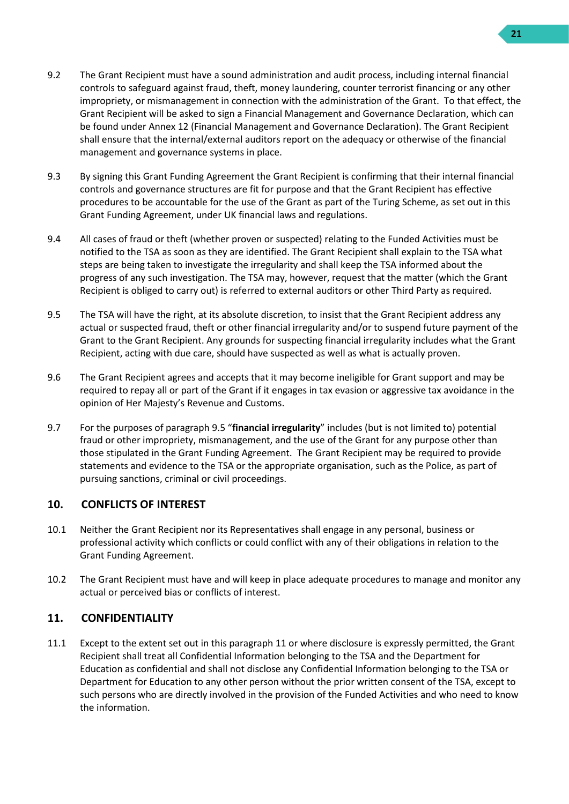- 9.2 The Grant Recipient must have a sound administration and audit process, including internal financial controls to safeguard against fraud, theft, money laundering, counter terrorist financing or any other impropriety, or mismanagement in connection with the administration of the Grant. To that effect, the Grant Recipient will be asked to sign a Financial Management and Governance Declaration, which can be found under Annex 12 (Financial Management and Governance Declaration). The Grant Recipient shall ensure that the internal/external auditors report on the adequacy or otherwise of the financial management and governance systems in place.
- 9.3 By signing this Grant Funding Agreement the Grant Recipient is confirming that their internal financial controls and governance structures are fit for purpose and that the Grant Recipient has effective procedures to be accountable for the use of the Grant as part of the Turing Scheme, as set out in this Grant Funding Agreement, under UK financial laws and regulations.
- 9.4 All cases of fraud or theft (whether proven or suspected) relating to the Funded Activities must be notified to the TSA as soon as they are identified. The Grant Recipient shall explain to the TSA what steps are being taken to investigate the irregularity and shall keep the TSA informed about the progress of any such investigation. The TSA may, however, request that the matter (which the Grant Recipient is obliged to carry out) is referred to external auditors or other Third Party as required.
- <span id="page-20-2"></span>9.5 The TSA will have the right, at its absolute discretion, to insist that the Grant Recipient address any actual or suspected fraud, theft or other financial irregularity and/or to suspend future payment of the Grant to the Grant Recipient. Any grounds for suspecting financial irregularity includes what the Grant Recipient, acting with due care, should have suspected as well as what is actually proven.
- 9.6 The Grant Recipient agrees and accepts that it may become ineligible for Grant support and may be required to repay all or part of the Grant if it engages in tax evasion or aggressive tax avoidance in the opinion of Her Majesty's Revenue and Customs.
- 9.7 For the purposes of paragraph [9.5](#page-20-2) "**financial irregularity**" includes (but is not limited to) potential fraud or other impropriety, mismanagement, and the use of the Grant for any purpose other than those stipulated in the Grant Funding Agreement. The Grant Recipient may be required to provide statements and evidence to the TSA or the appropriate organisation, such as the Police, as part of pursuing sanctions, criminal or civil proceedings.

## <span id="page-20-0"></span>**10. CONFLICTS OF INTEREST**

- 10.1 Neither the Grant Recipient nor its Representatives shall engage in any personal, business or professional activity which conflicts or could conflict with any of their obligations in relation to the Grant Funding Agreement.
- 10.2 The Grant Recipient must have and will keep in place adequate procedures to manage and monitor any actual or perceived bias or conflicts of interest.

#### <span id="page-20-1"></span>**11. CONFIDENTIALITY**

11.1 Except to the extent set out in this paragraph [11](#page-20-1) or where disclosure is expressly permitted, the Grant Recipient shall treat all Confidential Information belonging to the TSA and the Department for Education as confidential and shall not disclose any Confidential Information belonging to the TSA or Department for Education to any other person without the prior written consent of the TSA, except to such persons who are directly involved in the provision of the Funded Activities and who need to know the information.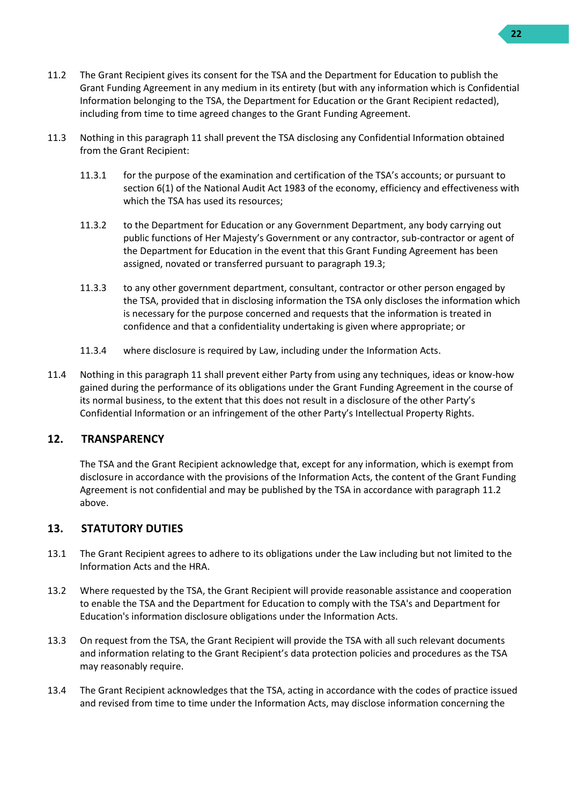- <span id="page-21-2"></span>11.2 The Grant Recipient gives its consent for the TSA and the Department for Education to publish the Grant Funding Agreement in any medium in its entirety (but with any information which is Confidential Information belonging to the TSA, the Department for Education or the Grant Recipient redacted), including from time to time agreed changes to the Grant Funding Agreement.
- 11.3 Nothing in this paragraph [11](#page-20-1) shall prevent the TSA disclosing any Confidential Information obtained from the Grant Recipient:
	- 11.3.1 for the purpose of the examination and certification of the TSA's accounts; or pursuant to section 6(1) of the National Audit Act 1983 of the economy, efficiency and effectiveness with which the TSA has used its resources;
	- 11.3.2 to the Department for Education or any Government Department, any body carrying out public functions of Her Majesty's Government or any contractor, sub-contractor or agent of the Department for Education in the event that this Grant Funding Agreement has been assigned, novated or transferred pursuant to paragrap[h 19.3;](#page-25-3)
	- 11.3.3 to any other government department, consultant, contractor or other person engaged by the TSA, provided that in disclosing information the TSA only discloses the information which is necessary for the purpose concerned and requests that the information is treated in confidence and that a confidentiality undertaking is given where appropriate; or
	- 11.3.4 where disclosure is required by Law, including under the Information Acts.
- 11.4 Nothing in this paragraph [11](#page-20-1) shall prevent either Party from using any techniques, ideas or know-how gained during the performance of its obligations under the Grant Funding Agreement in the course of its normal business, to the extent that this does not result in a disclosure of the other Party's Confidential Information or an infringement of the other Party's Intellectual Property Rights.

#### <span id="page-21-0"></span>**12. TRANSPARENCY**

The TSA and the Grant Recipient acknowledge that, except for any information, which is exempt from disclosure in accordance with the provisions of the Information Acts, the content of the Grant Funding Agreement is not confidential and may be published by the TSA in accordance with paragraph [11.2](#page-21-2) above.

## <span id="page-21-1"></span>**13. STATUTORY DUTIES**

- 13.1 The Grant Recipient agrees to adhere to its obligations under the Law including but not limited to the Information Acts and the HRA.
- 13.2 Where requested by the TSA, the Grant Recipient will provide reasonable assistance and cooperation to enable the TSA and the Department for Education to comply with the TSA's and Department for Education's information disclosure obligations under the Information Acts.
- 13.3 On request from the TSA, the Grant Recipient will provide the TSA with all such relevant documents and information relating to the Grant Recipient's data protection policies and procedures as the TSA may reasonably require.
- 13.4 The Grant Recipient acknowledges that the TSA, acting in accordance with the codes of practice issued and revised from time to time under the Information Acts, may disclose information concerning the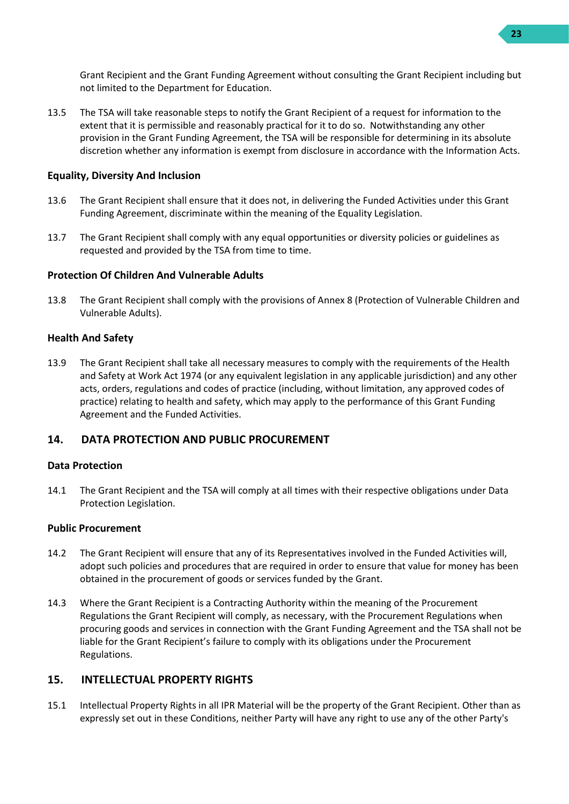Grant Recipient and the Grant Funding Agreement without consulting the Grant Recipient including but not limited to the Department for Education.

13.5 The TSA will take reasonable steps to notify the Grant Recipient of a request for information to the extent that it is permissible and reasonably practical for it to do so. Notwithstanding any other provision in the Grant Funding Agreement, the TSA will be responsible for determining in its absolute discretion whether any information is exempt from disclosure in accordance with the Information Acts.

#### **Equality, Diversity And Inclusion**

- 13.6 The Grant Recipient shall ensure that it does not, in delivering the Funded Activities under this Grant Funding Agreement, discriminate within the meaning of the Equality Legislation.
- 13.7 The Grant Recipient shall comply with any equal opportunities or diversity policies or guidelines as requested and provided by the TSA from time to time.

#### **Protection Of Children And Vulnerable Adults**

13.8 The Grant Recipient shall comply with the provisions of Annex 8 (Protection of Vulnerable Children and Vulnerable Adults).

#### **Health And Safety**

13.9 The Grant Recipient shall take all necessary measures to comply with the requirements of the Health and Safety at Work Act 1974 (or any equivalent legislation in any applicable jurisdiction) and any other acts, orders, regulations and codes of practice (including, without limitation, any approved codes of practice) relating to health and safety, which may apply to the performance of this Grant Funding Agreement and the Funded Activities.

#### <span id="page-22-0"></span>**14. DATA PROTECTION AND PUBLIC PROCUREMENT**

#### **Data Protection**

14.1 The Grant Recipient and the TSA will comply at all times with their respective obligations under Data Protection Legislation.

#### **Public Procurement**

- 14.2 The Grant Recipient will ensure that any of its Representatives involved in the Funded Activities will, adopt such policies and procedures that are required in order to ensure that value for money has been obtained in the procurement of goods or services funded by the Grant.
- 14.3 Where the Grant Recipient is a Contracting Authority within the meaning of the Procurement Regulations the Grant Recipient will comply, as necessary, with the Procurement Regulations when procuring goods and services in connection with the Grant Funding Agreement and the TSA shall not be liable for the Grant Recipient's failure to comply with its obligations under the Procurement Regulations.

#### <span id="page-22-1"></span>**15. INTELLECTUAL PROPERTY RIGHTS**

15.1 Intellectual Property Rights in all IPR Material will be the property of the Grant Recipient. Other than as expressly set out in these Conditions, neither Party will have any right to use any of the other Party's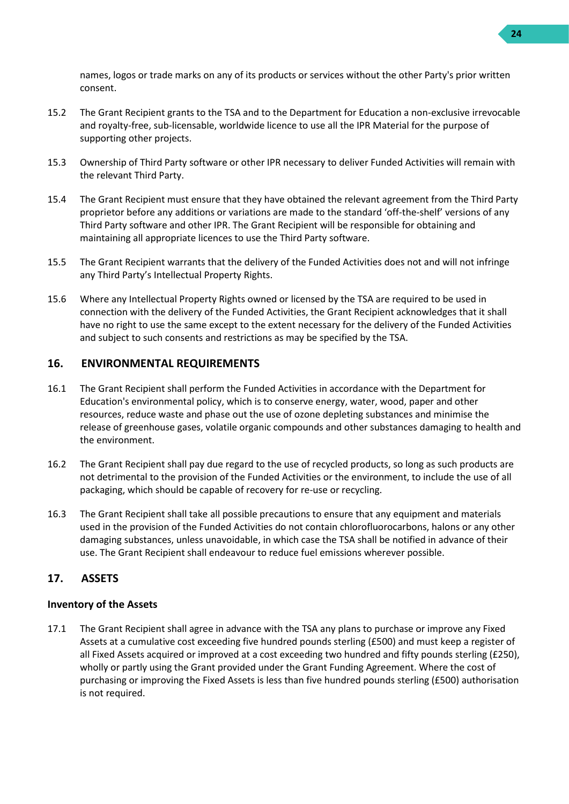names, logos or trade marks on any of its products or services without the other Party's prior written consent.

- 15.2 The Grant Recipient grants to the TSA and to the Department for Education a non-exclusive irrevocable and royalty-free, sub-licensable, worldwide licence to use all the IPR Material for the purpose of supporting other projects.
- 15.3 Ownership of Third Party software or other IPR necessary to deliver Funded Activities will remain with the relevant Third Party.
- 15.4 The Grant Recipient must ensure that they have obtained the relevant agreement from the Third Party proprietor before any additions or variations are made to the standard 'off-the-shelf' versions of any Third Party software and other IPR. The Grant Recipient will be responsible for obtaining and maintaining all appropriate licences to use the Third Party software.
- 15.5 The Grant Recipient warrants that the delivery of the Funded Activities does not and will not infringe any Third Party's Intellectual Property Rights.
- 15.6 Where any Intellectual Property Rights owned or licensed by the TSA are required to be used in connection with the delivery of the Funded Activities, the Grant Recipient acknowledges that it shall have no right to use the same except to the extent necessary for the delivery of the Funded Activities and subject to such consents and restrictions as may be specified by the TSA.

## <span id="page-23-0"></span>**16. ENVIRONMENTAL REQUIREMENTS**

- 16.1 The Grant Recipient shall perform the Funded Activities in accordance with the Department for Education's environmental policy, which is to conserve energy, water, wood, paper and other resources, reduce waste and phase out the use of ozone depleting substances and minimise the release of greenhouse gases, volatile organic compounds and other substances damaging to health and the environment.
- 16.2 The Grant Recipient shall pay due regard to the use of recycled products, so long as such products are not detrimental to the provision of the Funded Activities or the environment, to include the use of all packaging, which should be capable of recovery for re-use or recycling.
- 16.3 The Grant Recipient shall take all possible precautions to ensure that any equipment and materials used in the provision of the Funded Activities do not contain chlorofluorocarbons, halons or any other damaging substances, unless unavoidable, in which case the TSA shall be notified in advance of their use. The Grant Recipient shall endeavour to reduce fuel emissions wherever possible.

#### <span id="page-23-1"></span>**17. ASSETS**

#### **Inventory of the Assets**

17.1 The Grant Recipient shall agree in advance with the TSA any plans to purchase or improve any Fixed Assets at a cumulative cost exceeding five hundred pounds sterling (£500) and must keep a register of all Fixed Assets acquired or improved at a cost exceeding two hundred and fifty pounds sterling (£250), wholly or partly using the Grant provided under the Grant Funding Agreement. Where the cost of purchasing or improving the Fixed Assets is less than five hundred pounds sterling (£500) authorisation is not required.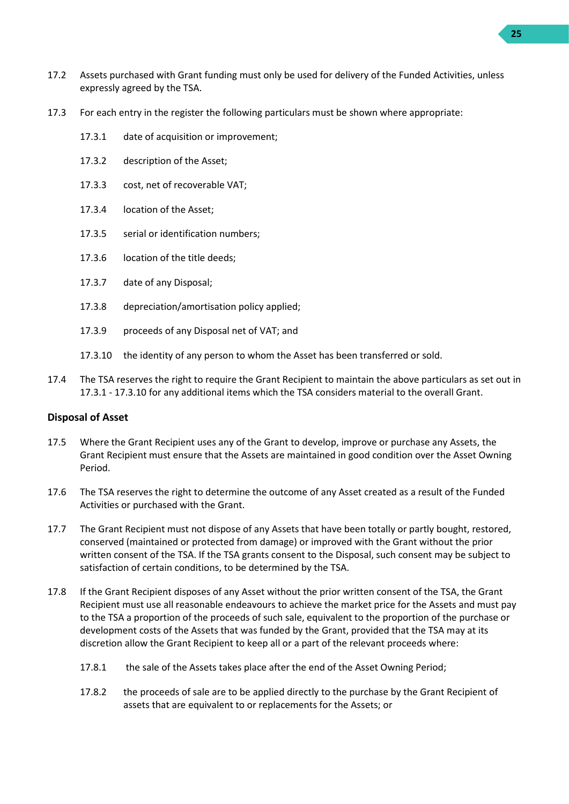- 17.2 Assets purchased with Grant funding must only be used for delivery of the Funded Activities, unless expressly agreed by the TSA.
- <span id="page-24-0"></span>17.3 For each entry in the register the following particulars must be shown where appropriate:
	- 17.3.1 date of acquisition or improvement;
	- 17.3.2 description of the Asset;
	- 17.3.3 cost, net of recoverable VAT;
	- 17.3.4 location of the Asset;
	- 17.3.5 serial or identification numbers;
	- 17.3.6 location of the title deeds;
	- 17.3.7 date of any Disposal;
	- 17.3.8 depreciation/amortisation policy applied;
	- 17.3.9 proceeds of any Disposal net of VAT; and
	- 17.3.10 the identity of any person to whom the Asset has been transferred or sold.
- <span id="page-24-1"></span>17.4 The TSA reserves the right to require the Grant Recipient to maintain the above particulars as set out in [17.3.1](#page-24-0) - [17.3.10](#page-24-1) for any additional items which the TSA considers material to the overall Grant.

#### **Disposal of Asset**

- 17.5 Where the Grant Recipient uses any of the Grant to develop, improve or purchase any Assets, the Grant Recipient must ensure that the Assets are maintained in good condition over the Asset Owning Period.
- 17.6 The TSA reserves the right to determine the outcome of any Asset created as a result of the Funded Activities or purchased with the Grant.
- 17.7 The Grant Recipient must not dispose of any Assets that have been totally or partly bought, restored, conserved (maintained or protected from damage) or improved with the Grant without the prior written consent of the TSA. If the TSA grants consent to the Disposal, such consent may be subject to satisfaction of certain conditions, to be determined by the TSA.
- 17.8 If the Grant Recipient disposes of any Asset without the prior written consent of the TSA, the Grant Recipient must use all reasonable endeavours to achieve the market price for the Assets and must pay to the TSA a proportion of the proceeds of such sale, equivalent to the proportion of the purchase or development costs of the Assets that was funded by the Grant, provided that the TSA may at its discretion allow the Grant Recipient to keep all or a part of the relevant proceeds where:
	- 17.8.1 the sale of the Assets takes place after the end of the Asset Owning Period;
	- 17.8.2 the proceeds of sale are to be applied directly to the purchase by the Grant Recipient of assets that are equivalent to or replacements for the Assets; or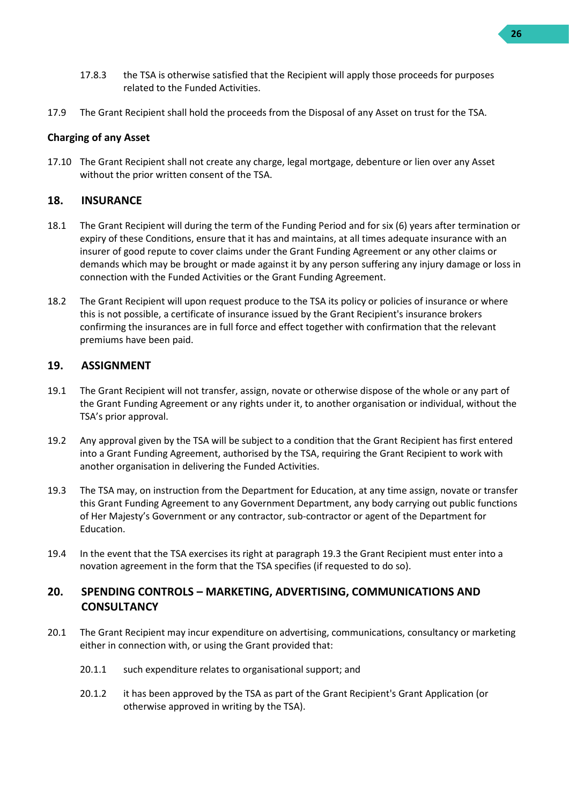- 17.8.3 the TSA is otherwise satisfied that the Recipient will apply those proceeds for purposes related to the Funded Activities.
- 17.9 The Grant Recipient shall hold the proceeds from the Disposal of any Asset on trust for the TSA.

#### **Charging of any Asset**

<span id="page-25-4"></span>17.10 The Grant Recipient shall not create any charge, legal mortgage, debenture or lien over any Asset without the prior written consent of the TSA.

#### <span id="page-25-0"></span>**18. INSURANCE**

- 18.1 The Grant Recipient will during the term of the Funding Period and for six (6) years after termination or expiry of these Conditions, ensure that it has and maintains, at all times adequate insurance with an insurer of good repute to cover claims under the Grant Funding Agreement or any other claims or demands which may be brought or made against it by any person suffering any injury damage or loss in connection with the Funded Activities or the Grant Funding Agreement.
- 18.2 The Grant Recipient will upon request produce to the TSA its policy or policies of insurance or where this is not possible, a certificate of insurance issued by the Grant Recipient's insurance brokers confirming the insurances are in full force and effect together with confirmation that the relevant premiums have been paid.

#### <span id="page-25-1"></span>**19. ASSIGNMENT**

- 19.1 The Grant Recipient will not transfer, assign, novate or otherwise dispose of the whole or any part of the Grant Funding Agreement or any rights under it, to another organisation or individual, without the TSA's prior approval.
- 19.2 Any approval given by the TSA will be subject to a condition that the Grant Recipient has first entered into a Grant Funding Agreement, authorised by the TSA, requiring the Grant Recipient to work with another organisation in delivering the Funded Activities.
- <span id="page-25-3"></span>19.3 The TSA may, on instruction from the Department for Education, at any time assign, novate or transfer this Grant Funding Agreement to any Government Department, any body carrying out public functions of Her Majesty's Government or any contractor, sub-contractor or agent of the Department for Education.
- 19.4 In the event that the TSA exercises its right at paragraph [19.3](#page-25-3) the Grant Recipient must enter into a novation agreement in the form that the TSA specifies (if requested to do so).

## <span id="page-25-2"></span>**20. SPENDING CONTROLS – MARKETING, ADVERTISING, COMMUNICATIONS AND CONSULTANCY**

- 20.1 The Grant Recipient may incur expenditure on advertising, communications, consultancy or marketing either in connection with, or using the Grant provided that:
	- 20.1.1 such expenditure relates to organisational support; and
	- 20.1.2 it has been approved by the TSA as part of the Grant Recipient's Grant Application (or otherwise approved in writing by the TSA).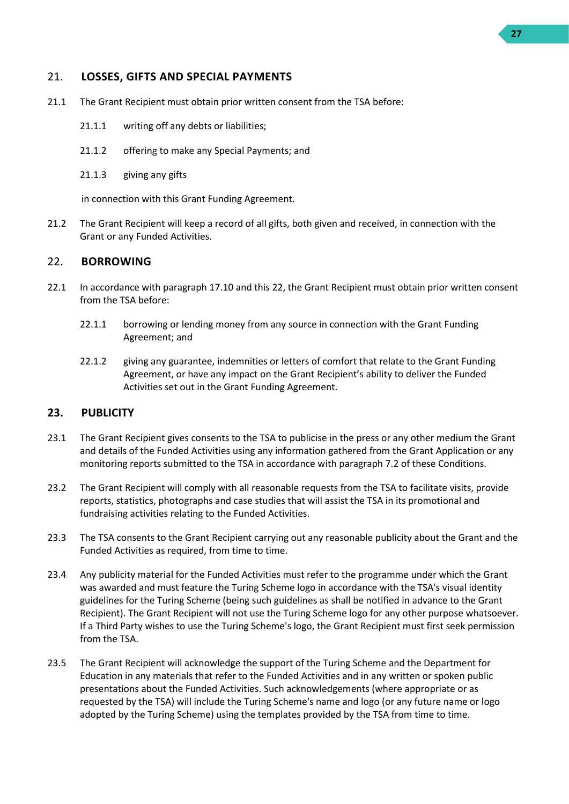#### <span id="page-26-0"></span>21. **LOSSES, GIFTS AND SPECIAL PAYMENTS**

- 21.1 The Grant Recipient must obtain prior written consent from the TSA before:
	- 21.1.1 writing off any debts or liabilities;
	- 21.1.2 offering to make any Special Payments; and
	- 21.1.3 giving any gifts

in connection with this Grant Funding Agreement.

21.2 The Grant Recipient will keep a record of all gifts, both given and received, in connection with the Grant or any Funded Activities.

#### <span id="page-26-1"></span>22. **BORROWING**

- 22.1 In accordance with paragraph [17.10](#page-25-4) and this [22,](#page-26-1) the Grant Recipient must obtain prior written consent from the TSA before:
	- 22.1.1 borrowing or lending money from any source in connection with the Grant Funding Agreement; and
	- 22.1.2 giving any guarantee, indemnities or letters of comfort that relate to the Grant Funding Agreement, or have any impact on the Grant Recipient's ability to deliver the Funded Activities set out in the Grant Funding Agreement.

#### <span id="page-26-2"></span>**23. PUBLICITY**

- 23.1 The Grant Recipient gives consents to the TSA to publicise in the press or any other medium the Grant and details of the Funded Activities using any information gathered from the Grant Application or any monitoring reports submitted to the TSA in accordance with paragraph [7.2](#page-16-2) of these Conditions.
- 23.2 The Grant Recipient will comply with all reasonable requests from the TSA to facilitate visits, provide reports, statistics, photographs and case studies that will assist the TSA in its promotional and fundraising activities relating to the Funded Activities.
- 23.3 The TSA consents to the Grant Recipient carrying out any reasonable publicity about the Grant and the Funded Activities as required, from time to time.
- 23.4 Any publicity material for the Funded Activities must refer to the programme under which the Grant was awarded and must feature the Turing Scheme logo in accordance with the TSA's visual identity guidelines for the Turing Scheme (being such guidelines as shall be notified in advance to the Grant Recipient). The Grant Recipient will not use the Turing Scheme logo for any other purpose whatsoever. If a Third Party wishes to use the Turing Scheme's logo, the Grant Recipient must first seek permission from the TSA
- 23.5 The Grant Recipient will acknowledge the support of the Turing Scheme and the Department for Education in any materials that refer to the Funded Activities and in any written or spoken public presentations about the Funded Activities. Such acknowledgements (where appropriate or as requested by the TSA) will include the Turing Scheme's name and logo (or any future name or logo adopted by the Turing Scheme) using the templates provided by the TSA from time to time.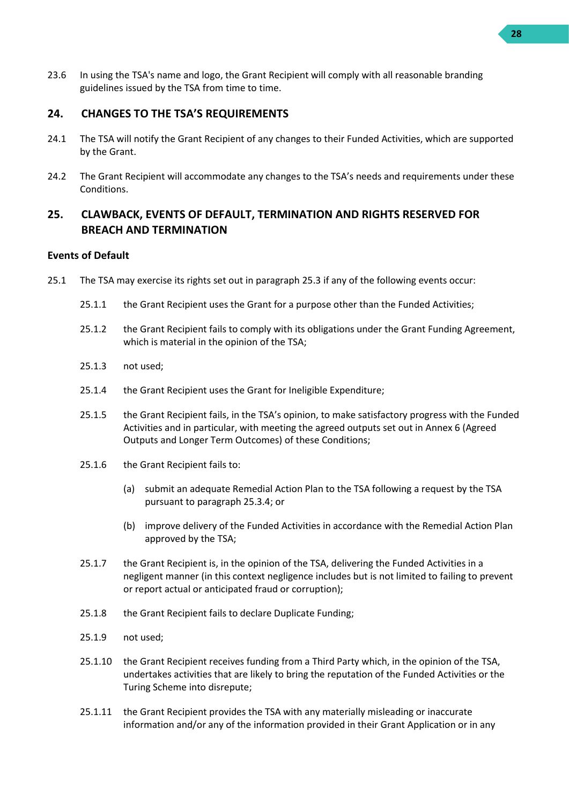23.6 In using the TSA's name and logo, the Grant Recipient will comply with all reasonable branding guidelines issued by the TSA from time to time.

#### <span id="page-27-0"></span>**24. CHANGES TO THE TSA'S REQUIREMENTS**

- 24.1 The TSA will notify the Grant Recipient of any changes to their Funded Activities, which are supported by the Grant.
- 24.2 The Grant Recipient will accommodate any changes to the TSA's needs and requirements under these Conditions.

## <span id="page-27-1"></span>**25. CLAWBACK, EVENTS OF DEFAULT, TERMINATION AND RIGHTS RESERVED FOR BREACH AND TERMINATION**

#### **Events of Default**

- <span id="page-27-3"></span><span id="page-27-2"></span>25.1 The TSA may exercise its rights set out in paragraph [25.3](#page-29-1) if any of the following events occur:
	- 25.1.1 the Grant Recipient uses the Grant for a purpose other than the Funded Activities;
	- 25.1.2 the Grant Recipient fails to comply with its obligations under the Grant Funding Agreement, which is material in the opinion of the TSA:
	- 25.1.3 not used;
	- 25.1.4 the Grant Recipient uses the Grant for Ineligible Expenditure;
	- 25.1.5 the Grant Recipient fails, in the TSA's opinion, to make satisfactory progress with the Funded Activities and in particular, with meeting the agreed outputs set out in Annex 6 (Agreed Outputs and Longer Term Outcomes) of these Conditions;
	- 25.1.6 the Grant Recipient fails to:
		- (a) submit an adequate Remedial Action Plan to the TSA following a request by the TSA pursuant to paragraph [25.3.4;](#page-29-2) or
		- (b) improve delivery of the Funded Activities in accordance with the Remedial Action Plan approved by the TSA;
	- 25.1.7 the Grant Recipient is, in the opinion of the TSA, delivering the Funded Activities in a negligent manner (in this context negligence includes but is not limited to failing to prevent or report actual or anticipated fraud or corruption);
	- 25.1.8 the Grant Recipient fails to declare Duplicate Funding;
	- 25.1.9 not used;
	- 25.1.10 the Grant Recipient receives funding from a Third Party which, in the opinion of the TSA, undertakes activities that are likely to bring the reputation of the Funded Activities or the Turing Scheme into disrepute;
	- 25.1.11 the Grant Recipient provides the TSA with any materially misleading or inaccurate information and/or any of the information provided in their Grant Application or in any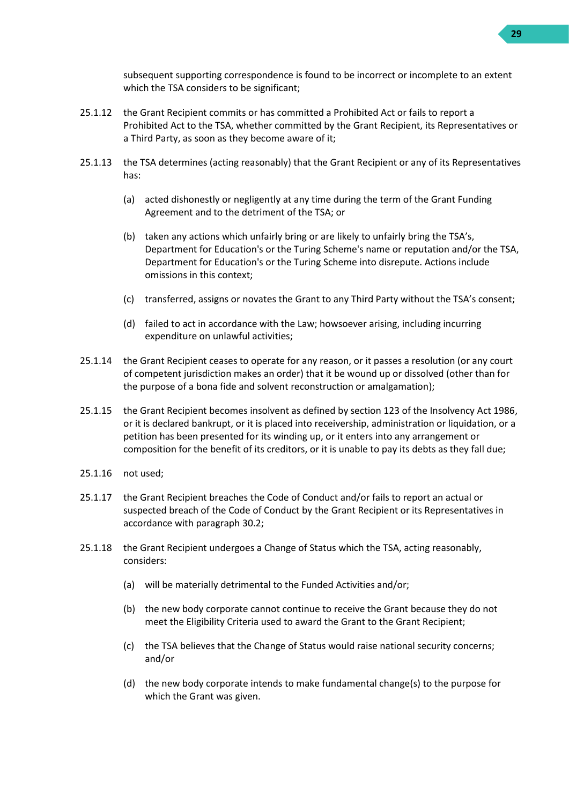

subsequent supporting correspondence is found to be incorrect or incomplete to an extent which the TSA considers to be significant;

- 25.1.12 the Grant Recipient commits or has committed a Prohibited Act or fails to report a Prohibited Act to the TSA, whether committed by the Grant Recipient, its Representatives or a Third Party, as soon as they become aware of it;
- 25.1.13 the TSA determines (acting reasonably) that the Grant Recipient or any of its Representatives has:
	- (a) acted dishonestly or negligently at any time during the term of the Grant Funding Agreement and to the detriment of the TSA; or
	- (b) taken any actions which unfairly bring or are likely to unfairly bring the TSA's, Department for Education's or the Turing Scheme's name or reputation and/or the TSA, Department for Education's or the Turing Scheme into disrepute. Actions include omissions in this context;
	- (c) transferred, assigns or novates the Grant to any Third Party without the TSA's consent;
	- (d) failed to act in accordance with the Law; howsoever arising, including incurring expenditure on unlawful activities;
- 25.1.14 the Grant Recipient ceases to operate for any reason, or it passes a resolution (or any court of competent jurisdiction makes an order) that it be wound up or dissolved (other than for the purpose of a bona fide and solvent reconstruction or amalgamation);
- 25.1.15 the Grant Recipient becomes insolvent as defined by section 123 of the Insolvency Act 1986, or it is declared bankrupt, or it is placed into receivership, administration or liquidation, or a petition has been presented for its winding up, or it enters into any arrangement or composition for the benefit of its creditors, or it is unable to pay its debts as they fall due;
- 25.1.16 not used;
- <span id="page-28-1"></span>25.1.17 the Grant Recipient breaches the Code of Conduct and/or fails to report an actual or suspected breach of the Code of Conduct by the Grant Recipient or its Representatives in accordance with paragrap[h 30.2;](#page-32-4)
- <span id="page-28-0"></span>25.1.18 the Grant Recipient undergoes a Change of Status which the TSA, acting reasonably, considers:
	- (a) will be materially detrimental to the Funded Activities and/or;
	- (b) the new body corporate cannot continue to receive the Grant because they do not meet the Eligibility Criteria used to award the Grant to the Grant Recipient;
	- (c) the TSA believes that the Change of Status would raise national security concerns; and/or
	- (d) the new body corporate intends to make fundamental change(s) to the purpose for which the Grant was given.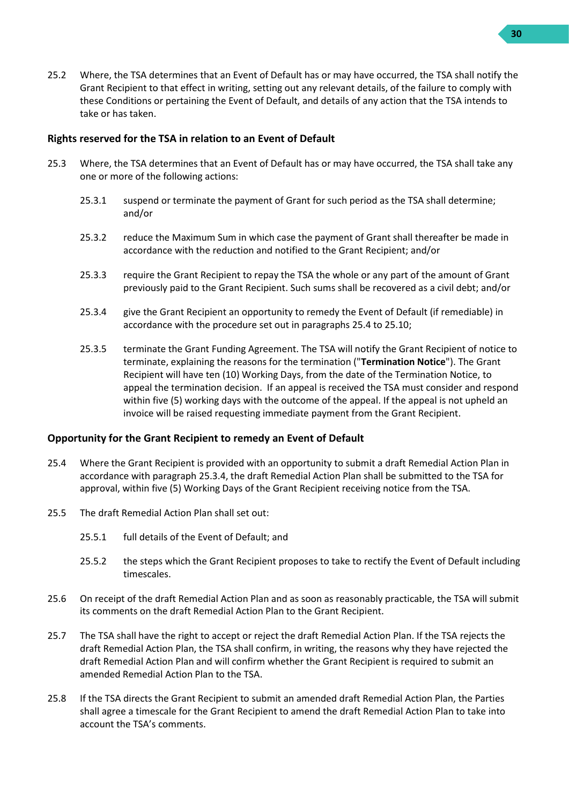- **30**
- 25.2 Where, the TSA determines that an Event of Default has or may have occurred, the TSA shall notify the Grant Recipient to that effect in writing, setting out any relevant details, of the failure to comply with these Conditions or pertaining the Event of Default, and details of any action that the TSA intends to take or has taken.

#### **Rights reserved for the TSA in relation to an Event of Default**

- <span id="page-29-3"></span><span id="page-29-1"></span>25.3 Where, the TSA determines that an Event of Default has or may have occurred, the TSA shall take any one or more of the following actions:
	- 25.3.1 suspend or terminate the payment of Grant for such period as the TSA shall determine; and/or
	- 25.3.2 reduce the Maximum Sum in which case the payment of Grant shall thereafter be made in accordance with the reduction and notified to the Grant Recipient; and/or
	- 25.3.3 require the Grant Recipient to repay the TSA the whole or any part of the amount of Grant previously paid to the Grant Recipient. Such sums shall be recovered as a civil debt; and/or
	- 25.3.4 give the Grant Recipient an opportunity to remedy the Event of Default (if remediable) in accordance with the procedure set out in paragraph[s 25.4](#page-29-0) t[o 25.10;](#page-30-0)
	- 25.3.5 terminate the Grant Funding Agreement. The TSA will notify the Grant Recipient of notice to terminate, explaining the reasons for the termination ("**Termination Notice**"). The Grant Recipient will have ten (10) Working Days, from the date of the Termination Notice, to appeal the termination decision. If an appeal is received the TSA must consider and respond within five (5) working days with the outcome of the appeal. If the appeal is not upheld an invoice will be raised requesting immediate payment from the Grant Recipient.

#### <span id="page-29-2"></span>**Opportunity for the Grant Recipient to remedy an Event of Default**

- <span id="page-29-0"></span>25.4 Where the Grant Recipient is provided with an opportunity to submit a draft Remedial Action Plan in accordance with paragraph [25.3.4,](#page-29-2) the draft Remedial Action Plan shall be submitted to the TSA for approval, within five (5) Working Days of the Grant Recipient receiving notice from the TSA.
- 25.5 The draft Remedial Action Plan shall set out:
	- 25.5.1 full details of the Event of Default; and
	- 25.5.2 the steps which the Grant Recipient proposes to take to rectify the Event of Default including timescales.
- 25.6 On receipt of the draft Remedial Action Plan and as soon as reasonably practicable, the TSA will submit its comments on the draft Remedial Action Plan to the Grant Recipient.
- 25.7 The TSA shall have the right to accept or reject the draft Remedial Action Plan. If the TSA rejects the draft Remedial Action Plan, the TSA shall confirm, in writing, the reasons why they have rejected the draft Remedial Action Plan and will confirm whether the Grant Recipient is required to submit an amended Remedial Action Plan to the TSA.
- 25.8 If the TSA directs the Grant Recipient to submit an amended draft Remedial Action Plan, the Parties shall agree a timescale for the Grant Recipient to amend the draft Remedial Action Plan to take into account the TSA's comments.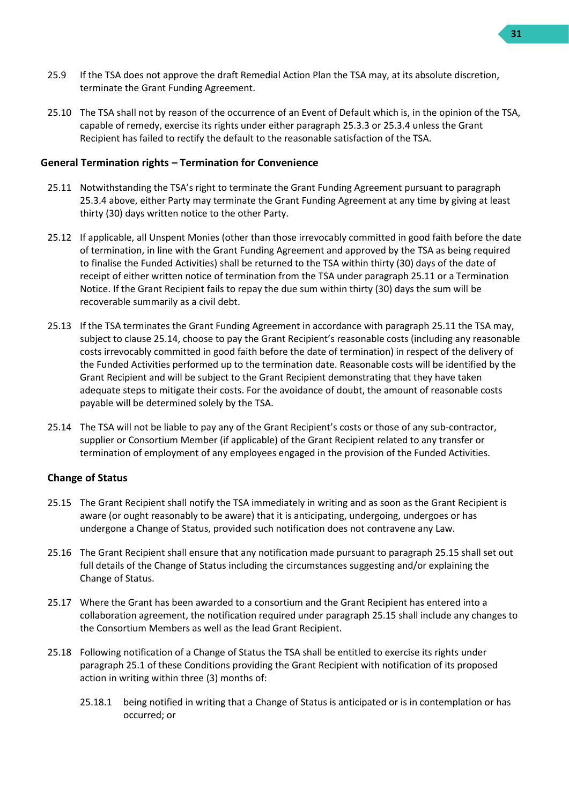- 25.9 If the TSA does not approve the draft Remedial Action Plan the TSA may, at its absolute discretion, terminate the Grant Funding Agreement.
- <span id="page-30-0"></span>25.10 The TSA shall not by reason of the occurrence of an Event of Default which is, in the opinion of the TSA, capable of remedy, exercise its rights under either paragrap[h 25.3.3](#page-29-3) or [25.3.4](#page-29-2) unless the Grant Recipient has failed to rectify the default to the reasonable satisfaction of the TSA.

#### **General Termination rights – Termination for Convenience**

- <span id="page-30-1"></span>25.11 Notwithstanding the TSA's right to terminate the Grant Funding Agreement pursuant to paragraph [25.3.4](#page-29-2) above, either Party may terminate the Grant Funding Agreement at any time by giving at least thirty (30) days written notice to the other Party.
- 25.12 If applicable, all Unspent Monies (other than those irrevocably committed in good faith before the date of termination, in line with the Grant Funding Agreement and approved by the TSA as being required to finalise the Funded Activities) shall be returned to the TSA within thirty (30) days of the date of receipt of either written notice of termination from the TSA under paragraph [25.11](#page-30-1) or a Termination Notice. If the Grant Recipient fails to repay the due sum within thirty (30) days the sum will be recoverable summarily as a civil debt.
- 25.13 If the TSA terminates the Grant Funding Agreement in accordance with paragraph [25.11](#page-30-1) the TSA may, subject to clause [25.14](#page-30-2), choose to pay the Grant Recipient's reasonable costs (including any reasonable costs irrevocably committed in good faith before the date of termination) in respect of the delivery of the Funded Activities performed up to the termination date. Reasonable costs will be identified by the Grant Recipient and will be subject to the Grant Recipient demonstrating that they have taken adequate steps to mitigate their costs. For the avoidance of doubt, the amount of reasonable costs payable will be determined solely by the TSA.
- <span id="page-30-2"></span>25.14 The TSA will not be liable to pay any of the Grant Recipient's costs or those of any sub-contractor, supplier or Consortium Member (if applicable) of the Grant Recipient related to any transfer or termination of employment of any employees engaged in the provision of the Funded Activities.

#### **Change of Status**

- <span id="page-30-3"></span>25.15 The Grant Recipient shall notify the TSA immediately in writing and as soon as the Grant Recipient is aware (or ought reasonably to be aware) that it is anticipating, undergoing, undergoes or has undergone a Change of Status, provided such notification does not contravene any Law.
- 25.16 The Grant Recipient shall ensure that any notification made pursuant to paragraph [25.15](#page-30-3) shall set out full details of the Change of Status including the circumstances suggesting and/or explaining the Change of Status.
- 25.17 Where the Grant has been awarded to a consortium and the Grant Recipient has entered into a collaboration agreement, the notification required under paragraph [25.15](#page-30-3) shall include any changes to the Consortium Members as well as the lead Grant Recipient.
- 25.18 Following notification of a Change of Status the TSA shall be entitled to exercise its rights under paragraph [25.1](#page-27-2) of these Conditions providing the Grant Recipient with notification of its proposed action in writing within three (3) months of:
	- 25.18.1 being notified in writing that a Change of Status is anticipated or is in contemplation or has occurred; or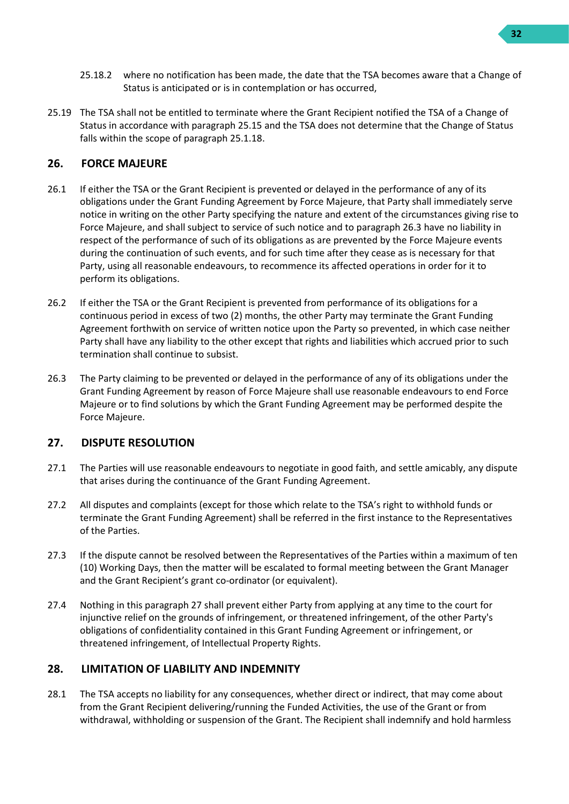- 25.18.2 where no notification has been made, the date that the TSA becomes aware that a Change of Status is anticipated or is in contemplation or has occurred,
- 25.19 The TSA shall not be entitled to terminate where the Grant Recipient notified the TSA of a Change of Status in accordance with paragraph [25.15](#page-30-3) and the TSA does not determine that the Change of Status falls within the scope of paragraph [25.1.18.](#page-28-0)

## <span id="page-31-0"></span>**26. FORCE MAJEURE**

- 26.1 If either the TSA or the Grant Recipient is prevented or delayed in the performance of any of its obligations under the Grant Funding Agreement by Force Majeure, that Party shall immediately serve notice in writing on the other Party specifying the nature and extent of the circumstances giving rise to Force Majeure, and shall subject to service of such notice and to paragrap[h 26.3](#page-31-3) have no liability in respect of the performance of such of its obligations as are prevented by the Force Majeure events during the continuation of such events, and for such time after they cease as is necessary for that Party, using all reasonable endeavours, to recommence its affected operations in order for it to perform its obligations.
- 26.2 If either the TSA or the Grant Recipient is prevented from performance of its obligations for a continuous period in excess of two (2) months, the other Party may terminate the Grant Funding Agreement forthwith on service of written notice upon the Party so prevented, in which case neither Party shall have any liability to the other except that rights and liabilities which accrued prior to such termination shall continue to subsist.
- <span id="page-31-3"></span>26.3 The Party claiming to be prevented or delayed in the performance of any of its obligations under the Grant Funding Agreement by reason of Force Majeure shall use reasonable endeavours to end Force Majeure or to find solutions by which the Grant Funding Agreement may be performed despite the Force Majeure.

#### <span id="page-31-1"></span>**27. DISPUTE RESOLUTION**

- 27.1 The Parties will use reasonable endeavours to negotiate in good faith, and settle amicably, any dispute that arises during the continuance of the Grant Funding Agreement.
- 27.2 All disputes and complaints (except for those which relate to the TSA's right to withhold funds or terminate the Grant Funding Agreement) shall be referred in the first instance to the Representatives of the Parties.
- 27.3 If the dispute cannot be resolved between the Representatives of the Parties within a maximum of ten (10) Working Days, then the matter will be escalated to formal meeting between the Grant Manager and the Grant Recipient's grant co-ordinator (or equivalent).
- 27.4 Nothing in this paragraph [27](#page-31-1) shall prevent either Party from applying at any time to the court for injunctive relief on the grounds of infringement, or threatened infringement, of the other Party's obligations of confidentiality contained in this Grant Funding Agreement or infringement, or threatened infringement, of Intellectual Property Rights.

## <span id="page-31-2"></span>**28. LIMITATION OF LIABILITY AND INDEMNITY**

28.1 The TSA accepts no liability for any consequences, whether direct or indirect, that may come about from the Grant Recipient delivering/running the Funded Activities, the use of the Grant or from withdrawal, withholding or suspension of the Grant. The Recipient shall indemnify and hold harmless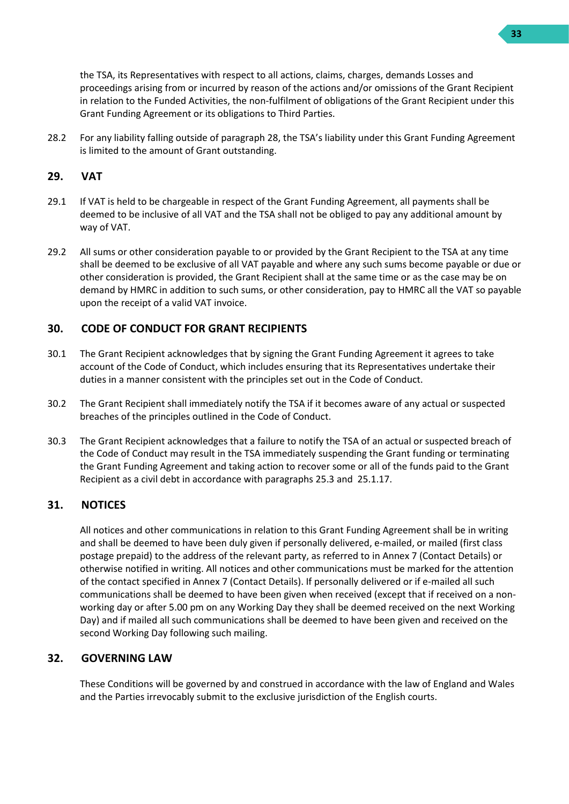the TSA, its Representatives with respect to all actions, claims, charges, demands Losses and proceedings arising from or incurred by reason of the actions and/or omissions of the Grant Recipient in relation to the Funded Activities, the non-fulfilment of obligations of the Grant Recipient under this Grant Funding Agreement or its obligations to Third Parties.

28.2 For any liability falling outside of paragraph [28](#page-31-2), the TSA's liability under this Grant Funding Agreement is limited to the amount of Grant outstanding.

## <span id="page-32-0"></span>**29. VAT**

- 29.1 If VAT is held to be chargeable in respect of the Grant Funding Agreement, all payments shall be deemed to be inclusive of all VAT and the TSA shall not be obliged to pay any additional amount by way of VAT.
- 29.2 All sums or other consideration payable to or provided by the Grant Recipient to the TSA at any time shall be deemed to be exclusive of all VAT payable and where any such sums become payable or due or other consideration is provided, the Grant Recipient shall at the same time or as the case may be on demand by HMRC in addition to such sums, or other consideration, pay to HMRC all the VAT so payable upon the receipt of a valid VAT invoice.

## <span id="page-32-1"></span>**30. CODE OF CONDUCT FOR GRANT RECIPIENTS**

- 30.1 The Grant Recipient acknowledges that by signing the Grant Funding Agreement it agrees to take account of the Code of Conduct, which includes ensuring that its Representatives undertake their duties in a manner consistent with the principles set out in the Code of Conduct.
- <span id="page-32-4"></span>30.2 The Grant Recipient shall immediately notify the TSA if it becomes aware of any actual or suspected breaches of the principles outlined in the Code of Conduct.
- 30.3 The Grant Recipient acknowledges that a failure to notify the TSA of an actual or suspected breach of the Code of Conduct may result in the TSA immediately suspending the Grant funding or terminating the Grant Funding Agreement and taking action to recover some or all of the funds paid to the Grant Recipient as a civil debt in accordance with paragraphs [25.3](#page-29-1) and [25.1.17.](#page-28-1)

#### <span id="page-32-2"></span>**31. NOTICES**

All notices and other communications in relation to this Grant Funding Agreement shall be in writing and shall be deemed to have been duly given if personally delivered, e-mailed, or mailed (first class postage prepaid) to the address of the relevant party, as referred to in Annex 7 (Contact Details) or otherwise notified in writing. All notices and other communications must be marked for the attention of the contact specified in Annex 7 (Contact Details). If personally delivered or if e-mailed all such communications shall be deemed to have been given when received (except that if received on a nonworking day or after 5.00 pm on any Working Day they shall be deemed received on the next Working Day) and if mailed all such communications shall be deemed to have been given and received on the second Working Day following such mailing.

## <span id="page-32-3"></span>**32. GOVERNING LAW**

These Conditions will be governed by and construed in accordance with the law of England and Wales and the Parties irrevocably submit to the exclusive jurisdiction of the English courts.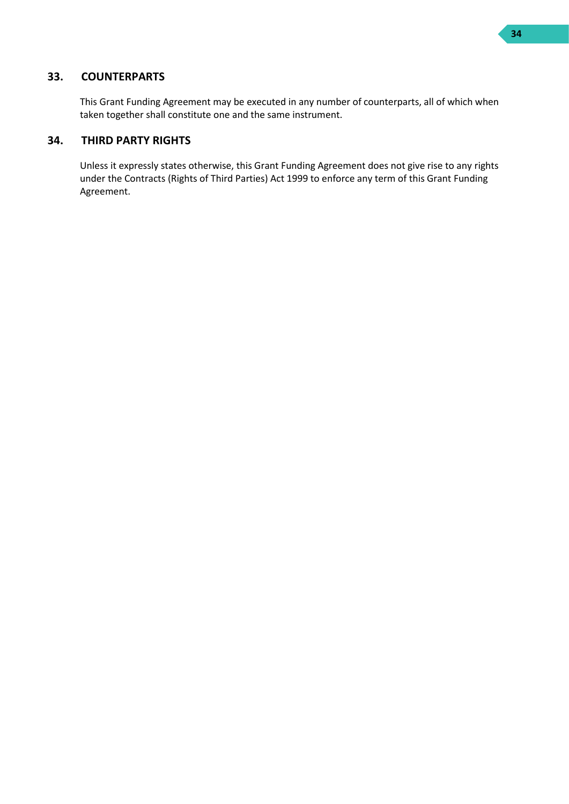## <span id="page-33-0"></span>**33. COUNTERPARTS**

This Grant Funding Agreement may be executed in any number of counterparts, all of which when taken together shall constitute one and the same instrument.

#### <span id="page-33-1"></span>**34. THIRD PARTY RIGHTS**

Unless it expressly states otherwise, this Grant Funding Agreement does not give rise to any rights under the Contracts (Rights of Third Parties) Act 1999 to enforce any term of this Grant Funding Agreement.